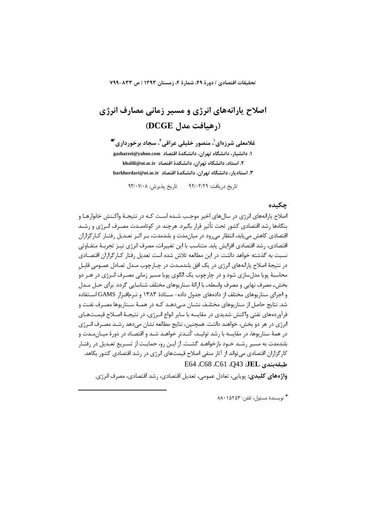تحقيقات اقتصادي / دورة ۴۹، شمارة ۴، زمستان ۱۳۹۳ / ص ۸۳۳-۷۹۹

# اصلاح پارانههای انرژی و مسیر زمانی مصارف انرژی (رهبافت مدل DCGE)

غلامعلی شرزهای'، منصور خلیلی عراقی'، سجاد برخورداری ٔ\* ۱. دانشیار، دانشگاه تهران، دانشکدهٔ اقتصاد gasharzei@yahoo.com ٢. استاد، دانشگاه تهران، دانشكدهٔ اقتصاد khalili@ut.ac.ir ۴. استادیار، دانشگاه تهران، دانشکدهٔ اقتصاد sarkhordari@ut.ac.ir

> تاريخ پذيرش: ٩٣/٠٧/٠٨ تاریخ دریافت: ۹۲/۰۲/۲۹

# حكىدە

اصلاح یارانههای انرژی در سالهای اخیر موجب شـده اسـت کـه در نتیجـهٔ واکـنش خانوارهـا و بنگاهها رشد اقتصادی کشور تحت تأثیر قرار بگیرد. هرچند در کوتاهمـدت مصـرف انـرژی و رشـد اقتصادی کاهش می یابد، انتظار می رود در میان مدت و بلندمدت، بـر اثـر تعـدیل رفتـار کـارگزاران اقتصادی، , شد اقتصادی افزایش پابد. متناسب با این تغییرات، مصرف انرژی نیـز تجربـهٔ متفـاوتی نسبت به گذشته خواهد داشت. در این مطالعه تلاش شده است تعدیل رفتار کـارگزاران اقتصـادی در نتيجهٔ اصلاح يارانههاي انرژي در يک افق بلندمـدت در چـارچوب مـدل تعـادل عمـومي قابـل محاسبهٔ پویا مدلسازی شود و در چارچوب یک الگوی پویا مسیر زمانی مصـرف انـرژی در هـر دو بخش\_ مصرف نهایی و مصرف واسطه\_ با ارائهٔ سناریوهای مختلف شناسایی گردد. برای حـل مـدل و اجرای سناریوهای مختلف از دادههای جدول داده- سـتادهٔ ۱۳۸۳ و نـرمافـزار GAMS اسـتفاده شد. نتایج حاصل از سناریوهای مختلـف نشــان مــیدهـد کــه در همــهٔ ســناریوها مصـرف نفـت و فرآوردههای نفتی واکنش شدیدی در مقایسه با سایر انواع انـرژی، در نتیجـهٔ اصـلاح قیمـتهـای انرژی در هر دو بخش، خواهند داشت. همچنین، نتایج مطالعه نشان میدهد رشـد مصـرف انـرژی در همهٔ سناریوها، در مقایسه با رشد تولیـد، کُنـدتر خواهـد شـد و اقتصـاد در دورهٔ میـانِمـدت و بلندمدت به مسیر رشـد خـود بازخواهـد گشـت. از ایـن رو، حمایـت از تسـریع تعـدیل در رفتـار کارگزاران اقتصادی می تواند از آثار منفی اصلاح قیمتهای انرژی در رشد اقتصادی کشور بکاهد. طبقەيندى JEL: C68 .C61 .O43

واژەهای کلیدی: پویایی، تعادل عمومی، تعدیل اقتصادی، رشد اقتصادی، مصرف انرژی.

\* نويسندة مسئول، تلفن: ٨٨٠١۵٢۵٣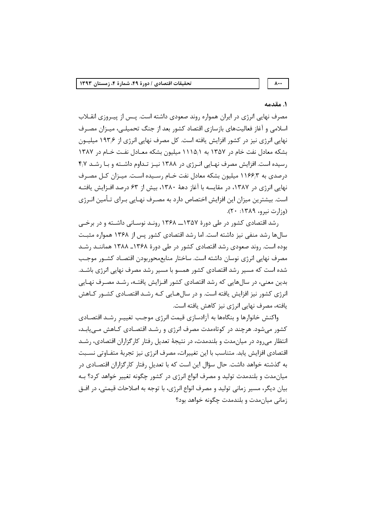$\lambda$ ..

## ١. مقدمه

مصرف نهایی انرژی در ایران همواره روند صعودی داشته است. پـس از پیـروزی انقــلاب اسلامی و آغاز فعالیتهای بازسازی اقتصاد کشور بعد از جنگ تحمیلـی، میـزان مصـرف نهایی انرژی نیز در کشور افزایش یافته است. کل مصرف نهایی انرژی از ۱۹۳٫۶ میلیــون بشکه معادل نفت خام در ۱۳۵۷ به ۱۵/۱۱۵ میلیون بشکه معـادل نفـت خـام در ۱۳۸۷ رسیده است. افزایش مصرف نهـایی انـرژی در ۱۳۸۸ نیـز تـداوم داشـته و بـا رشـد ۴٫۷ درصدی به ۱۱۶۶٫۳ میلیون بشکه معادل نفت خـام رسـیده اسـت. میـزان کـل مصـرف نهایی انرژی در ۱۳۸۷، در مقایسه با آغاز دههٔ ۱۳۸۰، بیش از ۶۳ درصد افـزایش یافتـه است. بیشترین میزان این افزایش اختصاص دارد به مصـرف نهـایی بـرای تـأمین انـرژی  $(n;1,0)$  (e;  $(n; 0)$  i  $(n; 0)$ ).

رشد اقتصادی کشور در طی دورهٔ ۱۳۵۷ـــ ۱۳۶۸ رونـد نوسـانی داشـته و در برخـی سالها رشد منفی نیز داشته است. اما رشد اقتصادی کشور پس از ۱۳۶۸ همواره مثبت بوده است. روند صعودی رشد اقتصادی کشور در طی دورهٔ ۱۳۶۸ـ ۱۳۸۸ هماننـد رشـد مصرف نهايي انرژى نوسان داشته است. ساختار منابع،حوربودن اقتصـاد كشــور موجــب شده است که مسیر رشد اقتصادی کشور همسو با مسیر رشد مصرف نهایی انرژی باشـد. بدین معنی، در سالهایی که رشد اقتصادی کشور افـزایش یافتـه، رشـد مصـرف نهـایی انرژی کشور نیز افزایش یافته است. و در سالهـایی کـه رشـد اقتصـادی کشـور کـاهش یافته، مصرف نهایی انرژی نیز کاهش یافته است.

واكنش خانوارها و بنگاهها به آزادسازی قیمت انرژی موجب تغییـرِ رشـد اقتصـادی کشور میشود. هرچند در کوتاهمدت مصرف انرژی و رشـد اقتصـادی کـاهش مـیLبـد، انتظار می رود در میان مدت و بلندمدت، در نتیجهٔ تعدیل رفتار کارگزاران اقتصادی، رشـد اقتصادی افزایش یابد. متناسب با این تغییرات، مصرف انرژی نیز تجربهٔ متفـاوتی نسـبت به گذشته خواهد داشت. حال سؤال این است که با تعدیل رفتار کارگزاران اقتصـادی در میان مدت و بلندمدت تولید و مصرف انواع انرژی در کشور چگونه تغییر خواهد کرد؟ بـه بيان ديگر، مسير زماني توليد و مصرف انواع انرژي، با توجه به اصلاحات قيمتي، در افــق زمانی میان مدت و بلندمدت چگونه خواهد بود؟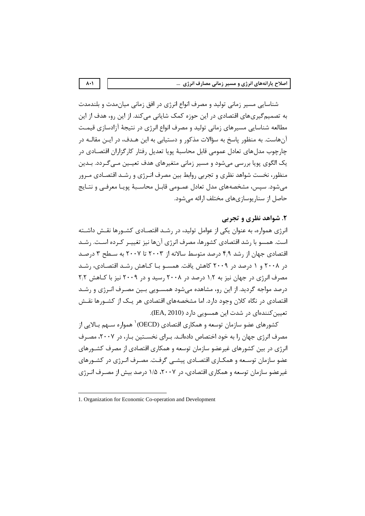شناسایی مسیر زمانی تولید و مصرف انواع انرژی در افق زمانی میان مدت و بلندمدت به تصمیم گیریهای اقتصادی در این حوزه کمک شایانی میکند. از این رو، هدف از این مطالعه شناسايي مسيرهاي زماني توليد و مصرف انواع انرژي در نتيجهٔ آزادسازي قيمـت آنهاست. به منظور پاسخ به سؤالات مذکور و دستیابی به این هـدف، در ایـن مقالـه در چارچوب مدلهای تعادل عمومی قابل محاسبهٔ پویا تعدیل رفتار کارگزاران اقتصـادی در یک الگوی پویا بررسی میشود و مسیر زمانی متغیرهای هدف تعیـین مـیگـردد. بـدین منظور، نخست شواهد نظری و تجربی روابط بین مصرف انـرژی و رشـد اقتصـادی مـرور می شود. سپس، مشخصههای مدل تعادل عمــومی قابـل محاســبهٔ پویـا معرفــی و نتــایج حاصل از سناریوسازیهای مختلف ارائه می شود.

# ٢. شواهد نظري و تجربي

انرژی همواره، به عنوان یکی از عوامل تولید، در رشـد اقتصـادی کشـورها نقـش داشـته است. همسو با رشد اقتصادی کشورها، مصرف انرژی آنها نیز تغییـر کـرده اسـت. رشـد اقتصادی جهان از رشد ۴٫۹ درصد متوسط سالانه از ۲۰۰۳ تا ۲۰۰۷ به سـطح ۳ درصـد در ۲۰۰۸ و ۱ درصد در ۲۰۰۹ کاهش یافت. همسـو بـا کـاهش رشـد اقتصـادی، رشـد مصرف انرژی در جهان نیز به ۱٫۲ درصد در ۲۰۰۸ رسید و در ۲۰۰۹ نیز با کـاهش ۲٫۲ درصد مواجه گردید. از این رو، مشاهده میشود همسـویی بـین مصـرف انـرژی و رشـد اقتصادی در نگاه کلان وجود دارد. اما مشخصههای اقتصادی هر یـک از کشــورها نقــش تعیین کنندهای در شدت این همسویی دارد (IEA, 2010).

کشورهای عضو سازمان توسعه و همکاری اقتصادی (OECD)<sup>۱</sup> همواره ســهم بــالایی از مصرف انرژی جهان را به خود اختصاص دادهانـد. بـرای نخسـتین بـار، در ۲۰۰۷، مصـرف انرژی در بین کشورهای غیرعضو سازمان توسعه و همکاری اقتصادی از مصرف کشــورهای عضو سازمان توسـعه و همكـاري اقتصـادي پيشــي گرفـت. مصـرف انـرژي در كشــورهاي غیرعضو سازمان توسعه و همکاری اقتصادی، در ۲۰۰۷، ۱/۵ درصد بیش از مصـرف انـرژی

 $\lambda \cdot \lambda$ 

<sup>1.</sup> Organization for Economic Co-operation and Development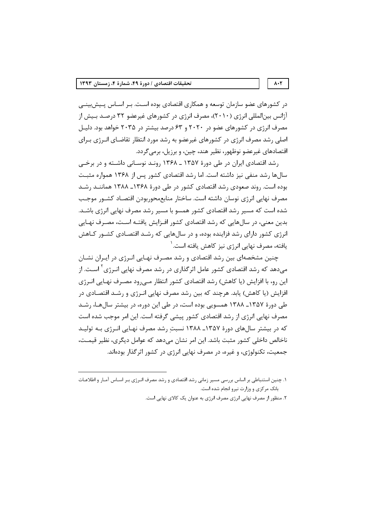در کشورهای عضو سازمان توسعه و همکاری اقتصادی بوده اسـت. بـر اسـاس پـیش;بینـی آژانس بینالمللی انرژی (۲۰۱۰)، مصرف انرژی در کشورهای غیرعضو ۳۲ درصـد بـیش از مصرف انرژی در کشورهای عضو در ۲۰۲۰ و ۶۳ درصد بیشتر در ۲۰۳۵ خواهد بود. دلیـل اصلی رشد مصرف انرژی در کشورهای غیرعضو به رشد مورد انتظار تقاضـای انـرژی بـرای اقتصادهای غیرعضو نوظهور، نظیر هند، چین، و برزیل، برمی گردد.

رشد اقتصادی ایران در طی دورهٔ ۱۳۵۷ ـ ۱۳۶۸ رونـد نوسـانی داشـته و در برخـی سالها رشد منفی نیز داشته است. اما رشد اقتصادی کشور پس از ۱۳۶۸ همواره مثبت بوده است. روند صعودی رشد اقتصادی کشور در طی دورهٔ ۱۳۶۸ـ ۱۳۸۸ هماننـد رشـد مصرف نهایی انرژی نوسان داشته است. ساختار منابعمحوربودن اقتصـاد کشــور موجـب شده است که مسیر رشد اقتصادی کشور همسو با مسیر رشد مصرف نهایی انرژی باشـد. بدین معنی، در سالهایی که رشد اقتصادی کشور افـزایش یافتـه اسـت، مصـرف نهـایی انرژی کشور دارای رشد فزاینده بوده، و در سالهایی که رشـد اقتصـادی کشـور کـاهش یافته، مصرف نهایی انرژی نیز کاهش یافته است.<sup>۱</sup>

چنین مشخصهای بین رشد اقتصادی و رشد مصـرف نهـایی انـرژی در ایـران نشـان می،دهد که رشد اقتصادی کشور عامل اثرگذاری در رشد مصرف نهایی انـرژی ٰ اسـت. از این رو، با افزایش (یا کاهش) رشد اقتصادی کشور انتظار مے،رود مصـرف نهـایے، انـرژی افزایش (یا کاهش) یابد. هرچند که بین رشد مصرف نهایی انـرژی و رشـد اقتصـادی در طی دورهٔ ۱۳۵۷ـ ۱۳۸۸ همسویی بوده است، در طی این دوره، در بیشتر سالها، رشـد مصرف نهایی انرژی از رشد اقتصادی کشور پیشی گرفته است. این امر موجب شده است که در بیشتر سالهای دورهٔ ۱۳۵۷ـ ۱۳۸۸ نسبت رشد مصرف نهـایی انـرژی بـه تولیـد ناخالص داخلي كشور مثبت باشد. اين امر نشان مي دهد كه عوامل ديگري، نظير قيمـت، جمعیت، تکنولوژی، و غیره، در مصرف نهایی انرژی در کشور اثرگذار بودهاند.

#### $\lambda \cdot \Upsilon$

۱. چنین استنباطی بر اساس بررسی مسیر زمانی رشد اقتصادی و رشد مصرف انـرژی بـر اسـاس آمـار و اطلاعـات بانک مرکزی و وزارت نیرو انجام شده است.

۲. منظور از مصرف نهایی انرژی مصرف انرژی به عنوان یک کالای نهایی است.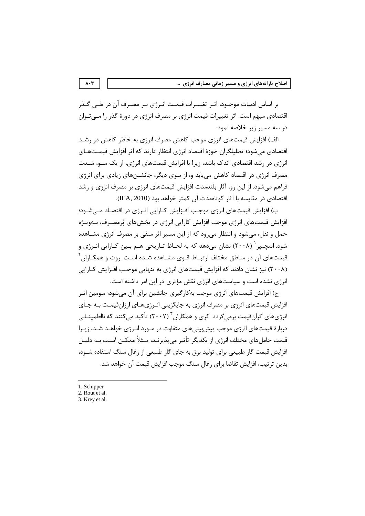بر اساس ادبیات موجـود، اثـر تغییـرات قیمـت انـرژی بـر مصـرف آن در طـی گـذر اقتصادی مبهم است. اثر تغییرات قیمت انرژی بر مصرف انرژی در دورهٔ گذر را مـیتـوان در سه مسیر زیر خلاصه نمود:

الف) افزایش قیمتهای انرژی موجب کاهش مصرف انرژی به خاطر کاهش در رشـد اقتصادی میشود؛ تحلیلگران حوزهٔ اقتصاد انرژی انتظار دارند که اثر افزایش قیمـتهـای انرژی در رشد اقتصادی اندک باشد، زیرا با افزایش قیمتهای انرژی، از یک سـو، شـدت مصرف انرژی در اقتصاد کاهش می بابد و، از سوی دیگر، جانشینهای زیادی برای انرژی فراهم می شود. از این رو، آثار بلندمدت افزایش قیمتهای انرژی بر مصرف انرژی و رشد اقتصادی در مقایسه با آثار کوتاهمدت آن کمتر خواهد بود (IEA, 2010).

ب) افزایش قیمتهای انرژی موجب افـزایش کـارایی انـرژی در اقتصـاد مـیشـود؛ افزایش قیمتهای انرژی موجب افزایش کارایی انرژی در بخشهای پُرمصـرف، بـهویـژه حمل و نقل، می شود و انتظار می رود که از این مسیر اثر منفی بر مصرف انرژی مشـاهده شود. اسچییر <sup>۱</sup> (۲۰۰۸) نشان می۵هد که به لحـاظ تـاریخی هــم بــین کــارایی انــرژی و قیمتهای آن در مناطق مختلف ارتبـاط قـوی مشـاهده شـده اسـت. روت و همکـاران <sup>۲</sup> (۲۰۰۸) نیز نشان دادند که افزایش قیمتهای انرژی به تنهایی موجب افـزایش کـارایی انرژی نشده است و سیاستهای انرژی نقش مؤثری در این امر داشته است.

ج) افزایش قیمتهای انرژی موجب به کار گیری جانشین برای آن می شود؛ سومین اثـر افزایش قیمتهای انرژی بر مصرف انرژی به جایگزینی انـرژیهـای ارزانقیمـت بـه جـای انرژیهای گرانقیمت برمیگردد. کری و همکاران ۲۰۰۷) تأکید میکنند که نااطمینــانی دربارهٔ قیمتهای انرژی موجب پیش بینیهای متفاوت در مـورد انـرژی خواهـد شـد، زیـرا قیمت حامل های مختلف انرژی از یکدیگر تأثیر می پذیرنـد، مـثلاً ممکــن اسـت بــه دلیــل افزایش قیمت گاز طبیعی برای تولید برق به جای گاز طبیعی از زغال سنگ استفاده شـود، بدين ترتيب، افزايش تقاضا براي زغال سنگ موجب افزايش قيمت آن خواهد شد.

1. Schipper

 $\lambda \cdot \tau$ 

3. Krey et al.

<sup>2.</sup> Rout et al.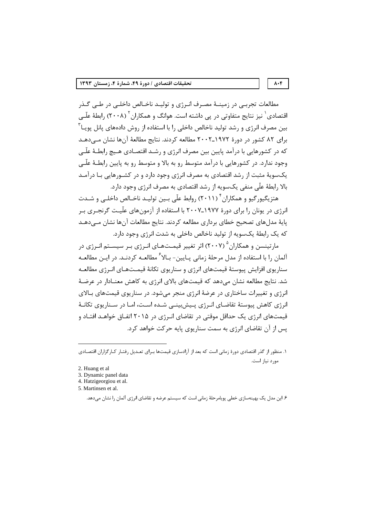مطالعات تجربـی در زمینـهٔ مصـرف انـرژی و تولیـد ناخـالص داخلــ ، در طــ ، گـذر اقتصادی ٔ نیز نتایج متفاوتی در پی داشته است. هوانگ و همکاران ٔ (۲۰۰۸) رابطهٔ علّـی بین مصرف انرژی و رشد تولید ناخالص داخلی را با استفاده از روش دادههای پانل پویـا ّ برای ۸۲ کشور در دورهٔ ۱۹۷۲ـ۲۰۰۲ مطالعه کردند. نتایج مطالعهٔ آنها نشان مے،دهـد که در کشورهایی با درآمد پایین بین مصرف انرژی و رشـد اقتصـادی هـیچ رابطـهٔ علّـی وجود ندارد. در کشورهایی با درآمد متوسط رو به بالا و متوسط رو به پایین رابطـهٔ علّـی یکسویهٔ مثبت از رشد اقتصادی به مصرف انرژی وجود دارد و در کشـورهایی بـا درآمـد بالا رابطهٔ علّی منفی یکسویه از رشد اقتصادی به مصرف انرژی وجود دارد.

هتزیگیو, گیو و همکاران ٔ (۲۰۱۱) ,وابط علّی بـین تولیـد ناخـالص داخلـی و شـدت انرژی در یونان را برای دورهٔ ۱۹۷۷ـ۲۰۰۷ با استفاده از آزمونهای علّیـت گرنجـری بـر یایهٔ مدلهای تصحیح خطای برداری مطالعه کردند. نتایج مطالعات آنها نشان مے،دهـد که یک رابطهٔ یکسویه از تولید ناخالص داخلی به شدت انرژی وجود دارد.

ما تینسن و همکاران<sup>۵</sup> (۲۰۰۷) اثر تغییر قیمـتهـای انـرژی بـر سیسـتم انـرژی در آلمان را با استفاده از مدل مرحلهٔ زمانی پـایین- بـالا<sup>۶</sup> مطالعـه کردنـد. در ایــن مطالعـه سناریوی افزایش پیوستهٔ قیمتهای انرژی و سناریوی تکانهٔ قیمـتهـای انـرژی مطالعـه شد. نتایج مطالعه نشان می۵هد که قیمتهای بالای انرژی به کاهش معنـادار در عرضـهٔ انرژی و تغییرات ساختاری در عرضهٔ انرژی منجر می شود. در سناریوی قیمتهای بـالای انرژی کاهش پیوستهٔ تقاضـای انـرژی پـیش،پینـی شـده اسـت، امـا در سـناریوی تکانـهٔ قیمتهای انرژی یک حداقل موقتی در تقاضای انـرژی در ۲۰۱۵ اتفـاق خواهـد افتـاد و يس از آن تقاضاي انرژي به سمت سناريوي پايه حركت خواهد كرد.

#### $\Lambda \cdot \mathbf{f}$

۱. منظور از گذر اقتصادی دورهٔ زمانی است که بعد از آزادسازی قیمتها بـرای تعـدیل رفتـار کـارگزاران اقتصـادی مورد نياز است.

<sup>2.</sup> Huang et al

<sup>3.</sup> Dynamic panel data

<sup>4.</sup> Hatzigeorgiou et al.

<sup>5.</sup> Martinsen et al.

۶. این مدل یک بهینهسازی خطی پویامرحلهٔ زمانی است که سیستم عرضه و تقاضای انرژی آلمان را نشان میدهد.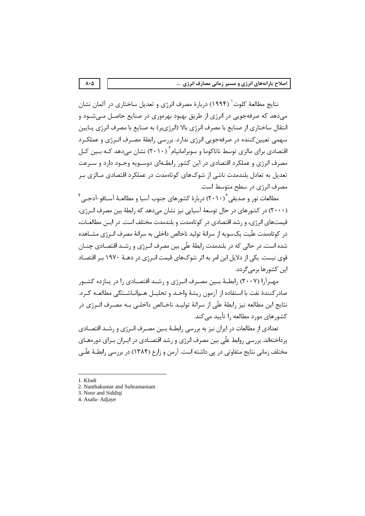نتايج مطالعهٔ كلوت` (۱۹۹۴) دربارهٔ مصرف انرژی و تعدیل ساختاری در آلمان نشان می دهد که صرفهجویی در انرژی از طریق بهبود بهرهوری در صنایع حاصـل مـی شـود و انتقال ساختاری از صنایع با مصرف انرژی بالا (انرژیبر) به صنایع با مصرف انرژی پـایین سهمی تعیین کننده در صرفهجویی انرژی ندارد. بررسی رابطهٔ مصـرف انـرژی و عملکـرد اقتصادی برای مالزی توسط ناتاکوما و سوبرامانیام ۲۰۱۰) نشان میدهد کـه بـین کـل مصرف انرژی و عملکرد اقتصادی در این کشور رابطـهای دوسـویه وجـود دارد و سـرعت تعدیل به تعادل بلندمدت ناشی از شوکهای کوتاهمدت در عملکرد اقتصادی مـالزی بـر مصرف انرژی در سطح متوسط است.

مطالعات نور و صدیقی ۲۰۱۰) دربارهٔ کشورهای جنوب آسیا و مطالعـهٔ آسـافو-آدجــ ٬ ٔ (۲۰۰۰) در کشورهای در حال توسعهٔ آسیایی نیز نشان میدهد که رابطهٔ بین مصرف انـرژی، قیمتهای انرژی، و رشد اقتصادی در کوتاممدت و بلندمدت مختلف است. در ایـن مطالعـات، د<sub>ر</sub> کوتاەمدت علّیت یکسویه از سرانهٔ تولید ناخالص داخلی به سرانهٔ مصرف انــرژی مشــاهده شده است، در حالی که در بلندمدت رابطهٔ علّی بین مصرف انـرژی و رشــد اقتصـادی چنــان قوی نیست. یکی از دلایل این امر به اثر شوکهای قیمت انـرژی در دهــهٔ ۱۹۷۰ بـر اقتصـاد این کشورها برمے گردد.

مهـرآرا (۲۰۰۷) رابطـهٔ بــین مصـرف انـرژی و رشـد اقتصـادی را در پـازده کشـور صادر كنندهٔ نفت با استفاده از آزمون ریشهٔ واحـد و تحلیـل هـمانباشـتگی مطالعـه كـرد. نتايج اين مطالعه نيز رابطهٔ علّى از سرانهٔ توليـد ناخـالص داخلـي بـه مصـرف انــرژي در کشورهای مورد مطالعه را تأیید می کند.

تعدادي از مطالعات در ايران نيز به بررسي رابطـهٔ بـين مصـرف انـرژي و رشـد اقتصـادي پرداختهاند. بررسی روابط علّی بین مصرف انرژی و رشد اقتصـادی در ایـران بـرای دورههـای مختلف زمانی نتایج متفاوتی در پی داشته است. آرمن و زارع (۱۳۸۴) در بررسی رابطـهٔ علّـی

- 1. Klodt
- 2. Nanthakumar and Subramaniam
- 3. Noor and Siddigi
- 4. Asafu-Adjaye

 $\boldsymbol{\Lambda}\boldsymbol{\cdot}\boldsymbol{\Delta}$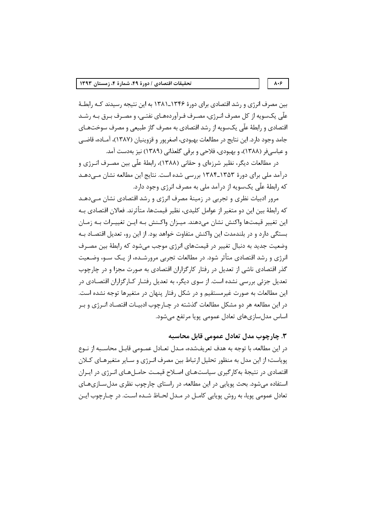بین مصرف انرژی و رشد اقتصادی برای دورهٔ ۱۳۴۶ـ۱۳۸۱ به این نتیجه رسیدند کـه رابطـهٔ علّی یکسویه از کل مصرف انـرژی، مصـرف فـرآوردههـای نفتـی، و مصـرف بـرق بـه رشـد اقتصادی و رابطهٔ علّی یکسویه از رشد اقتصادی به مصرف گاز طبیعی و مصرف سوختهـای جامد وجود دارد. این نتایج در مطالعات بهبودی، اصغرپور و قزوینیان (۱۳۸۷)، آمـاده، قاضـی و عباسيفر (١٣٨٨)، و بهبودي، فلاحي و برقي گلعذاني (١٣٨٩) نيز بهدست آمد.

در مطالعات دیگر، نظیر شرزهای و حقانی (۱۳۸۸)، رابطهٔ علّی بین مصـرف انــرژی و درآمد ملی برای دورهٔ ۱۳۵۳ـ۱۳۸۴ بررسی شده است. نتایج این مطالعه نشان مـیدهـد که رابطهٔ علّی یکسویه از درآمد ملی به مصرف انرژی وجود دارد.

مرور ادبیات نظری و تجربی در زمینهٔ مصرف انرژی و رشد اقتصادی نشان مے دهـد که رابطهٔ بین این دو متغیر از عوامل کلیدی، نظیر قیمتها، متأثرند. فعالان اقتصادی بـه این تغییر قیمتها واکنش نشان میدهند. میـزان واکـنش بـه ایـن تغییـرات بـه زمـان بستگی دارد و در بلندمدت این واکنش متفاوت خواهد بود. از این رو، تعدیل اقتصـاد بـه وضعیت جدید به دنبال تغییر در قیمتهای انرژی موجب می شود که رابطهٔ بین مصـرف انرژی و رشد اقتصادی متأثر شود. در مطالعات تجربی مرورشـده، از یـک سـو، وضـعیت گذر اقتصادی ناشی از تعدیل در رفتار کارگزاران اقتصادی به صورت مجزا و در چارچوب تعدیل جزئی بررسی نشده است. از سوی دیگر، به تعدیل رفتـار کـارگزاران اقتصـادی در این مطالعات به صورت غیرمستقیم و در شکل رفتار پنهان در متغیرها توجه نشده است. در این مطالعه هر دو مشکل مطالعات گذشته در چـارچوب ادبیـات اقتصـاد انـرژی و بـر اساس مدلسازیهای تعادل عمومی پویا مرتفع میشود.

۳. چارچوب مدل تعادل عمومی قابل محاسبه

در این مطالعه، با توجه به هدف تعریفشده، مـدل تعـادل عمــومی قابـل محاســبه از نــوع پویاست؛ از این مدل به منظور تحلیل ارتباط بین مصرف انـرژی و سـایر متغیرهـای کـلان اقتصادی در نتیجهٔ بهکارگیری سیاستهـای اصـلاح قیمـت حامـلهـای انـرژی در ایـران استفاده می شود. بحث یوپایی در این مطالعه، در راستای چارچوب نظری مدل ســازیهــای تعادل عمومي پويا، به روش پويايي كامـل در مـدل لحـاظ شـده اسـت. در چـارچوب ايـن

#### $\lambda \cdot \xi$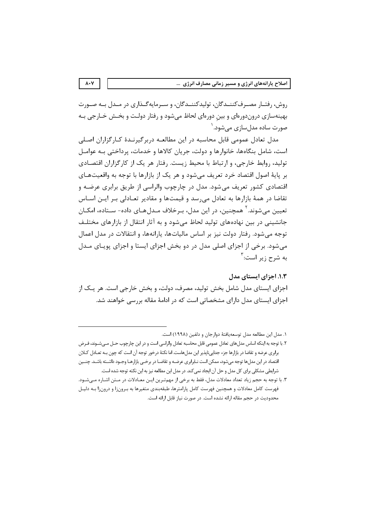روش، رفتـار مصـرفکننــدگان، توليدکننــدگان، و سـرمايهگــذاري در مــدل بــه صــورت بهینهسازی دروندورمای و بین دورمای لحاظ میشود و رفتار دولت و بخـش خـارجی بـه صورت سادہ مدل سازی مے شود. `

مدل تعادل عمومی قابل محاسبه در این مطالعـه دربرگیرنـدهٔ کـارگزاران اصـلی است، شامل بنگاهها، خانوارها و دولت، جريان كالاها و خدمات، پرداختي بـه عوامـل تولید، روابط خارجی، و ارتباط با محیط زیست. رفتار هر یک از کارگزاران اقتصادی بر پایهٔ اصول اقتصاد خرد تعریف میشود و هر یک از بازارها با توجه به واقعیتهـای اقتصادی کشور تعریف می شود. مدل در چارچوب والراسی از طریق برابری عرضـه و تقاضا در همهٔ بازارها به تعادل می سد و قیمتها و مقادیر تعـادلی بـر ایـن اسـاس تعیین میشوند.<sup>۲</sup> همچنین، در این مدل، بـرخلاف مـدلهـای داده- سـتاده، امکـان جانشینی در بین نهادههای تولید لحاظ میشود و به آثار انتقال از بازارهای مختلف توجه مے شود. رفتار دولت نیز پر اساس مالیاتها، پارانهها، و انتقالات در مدل اعمال می شود. برخی از اجزای اصلی مدل در دو بخش اجزای ایستا و اجزای پویـای مــدل به شرح زیر است: آ

١.٣. اجزاي ايستاي مدل اجزای ایستای مدل شامل بخش تولید، مصرف، دولت، و بخش خارجی است. هر یـک از اجزای ایستای مدل دارای مشخصاتی است که در ادامهٔ مقاله بررسی خواهند شد.

 $\lambda \cdot Y$ 

١. مدل اين مطالعه مدل توسعه يافتهٔ دوارجان و دلفين (١٩٩٨) است.

٢. با توجه به اينكه اساس مدلهاي تعادل عمومي قابل محاسبه تعادل والراسي است و در اين چارچوب حـل مـيشـوند، فـرض برابري عرضه و تقاضا در بازارها جزء جداييiلپذير اين مدلهاست. اما نكتهٔ درخور توجه آن است كه چون بـه تعـادل كـلان اقتصاد در این مدلها توجه میشود، ممکن است نـابرابری عرضـه و تقاضـا در برخـی بازارهـا وجـود داشــته باشــد. چنــین شرایطی مشکلی برای کل مدل و حل آن ایجاد نمی کند. در مدل این مطالعه نیز به این نکته توجه شده است.

۳. با توجه به حجم زیاد تعداد معادلات مدل، فقط به برخی از مهمترین ایـن معـادلات در مـتن اشـاره مـی،شـود. فهرست کامل معادلات و همچنین فهرست کامل پارامترها، طبقهبندی متغیرها به بـرونزا و درونزا بـه دلیـل محدوديت در حجم مقاله ارائه نشده است. در صورت نياز قابل ارائه است.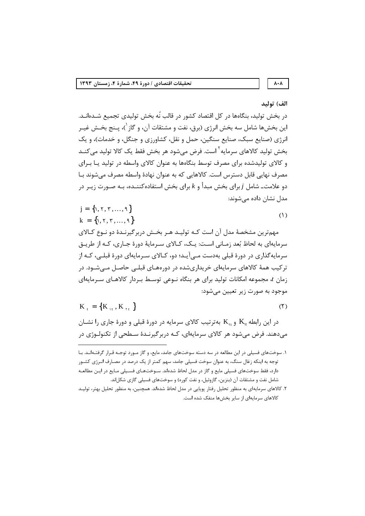# $\boldsymbol{\wedge}\boldsymbol{\cdot}\boldsymbol{\wedge}$ الف) توليد

# در بخش تولید، بنگاهها در کل اقتصاد کشور در قالب نُه بخش تولیدی تجمیع شــدهانــد. این بخشها شامل سه بخش انرژی (برق، نفت و مشتقات آن، و گاز<sup>\</sup>)، پــنج بخــش غیــر انرژی (صنایع سبک، صنایع سنگین، حمل و نقل، کشاورزی و جنگل، و خدمات)، و یک بخش تولید کالاهای سرمایه<sup>۲</sup> است. فرض می شود هر بخش فقط یک کالا تولید می *کنـ*د و کالای تولیدشده برای مصرف توسط بنگاهها به عنوان کالای واسطه در تولید یـا بـرای مصرف نهایی قابل دسترس است. کالاهایی که به عنوان نهادهٔ واسطه مصرف میشوند بـا دو علامت۔ شامل  $j$  برای بخش مبدأ و  $k$  برای بخش استفاده کننــده، بــه صــورت زیـر در مدل نشان داده می شوند:

$$
j = \{1, 7, 7, ..., 9\}
$$
  
k = \{1, 7, 7, ..., 9\} (1)

مهمترین مشخصهٔ مدل آن است کـه تولیـد هـر بخـش دربرگیرنـدهٔ دو نـوع کـالای سرمايهاي به لحاظ بُعد زمـاني اسـت: يـک، کـالاي سـرمايهٔ دورهٔ جـاري، کـه از طريـق سرمایهگذاری در دورهٔ قبلی بهدست مـی آیــد؛ دو، کــالای ســرمایهای دورهٔ قبلــی، کــه از تر کیب همهٔ کالاهای سرمایهای خریداریشده در دورههـای قبلــی حاصـل مــی شــود. در زمان t، مجموعه امکانات تولید برای هر بنگاه نـوعی توسـط بـردار کالاهـای سـرمایهای موجود به صورت زير تعيين مي شود:

$$
K_{t} = \{K_{1t}, K_{rt}\}
$$

$$
(\mathbf{r})
$$

در این رابطه K10 و K<sub>۲t</sub> بهترتیب کالای سرمایه در دورهٔ قبلی و دورهٔ جاری را نشـان می،دهند. فرض می،شود هر کالای سرمایهای، کـه دربرگیرنـدهٔ سـطحی از تکنولـوژی در

۱. سوختهای فسیلی در این مطالعه در سه دسته سوختهای جامد، مایع، و گاز مـورد توجـه قـرار گرفتـهانـد. بـا توجه به اینکه زغال سنگ، به عنوان سوخت فسیلی جامد، سهم کمتر از یک درصد در مصـارف انـرژی کشـور دارد، فقط سوختهای فسیلی مایع و گاز در مدل لحاظ شدهاند. سـوختهـای فسـيلی مـايع در ايـن مطالعـه شامل نفت و مشتقات آن (بنزین، گازوئیل، و نفت کوره) و سوختهای فسیلی گازی شکل|ند.

۲. کالاهای سرمایهای به منظور تحلیل رفتار پویایی در مدل لحاظ شدهاند. همچنین، به منظور تحلیل بهتر، تولیـد كالاهای سرمايهای از ساير بخشها منفک شده است.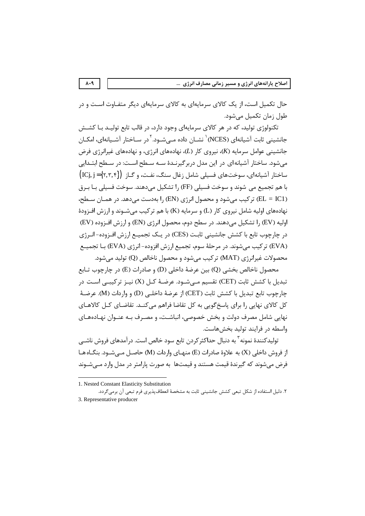حال تکمیل است، از یک کالای سرمایهای به کالای سرمایهای دیگر متفـاوت اسـت و در طول زمان تكميل مي شود.

تکنولوژی تولید، که در هر کالای سرمایهای وجود دارد، در قالب تابع تولیـد بـا کشـش جانشینی ثابت آشیانهای (NCES)<sup>۱</sup> نشــان داده مــی شــود.<sup>۲</sup>در ســاختار آشــیانهای، امکــان جانشینی عوامل سرمایه (K)، نیروی کار (L)، نهادههای انرژی، و نهادههای غیرانرژی فرض میشود. ساختار آشیانه ای در این مدل دربرگیرنـدهٔ سـه سـطح اسـت: در سـطح ابتـدایی  $\big(ICj,j = \big\{ \texttt{Y},\texttt{Y},\texttt{Y} \big\} \big)$  ساختار آشیانهای، سوختهای فسیلی شامل زغال سنگ، نفت، و گـاز با هم تجميع مي شوند و سوخت فسيلي (FF) را تشكيل مي دهند. سوخت فسيلي بـا بـرق (EL = IC1) تركيب مي شود و محصول انرژي (EN) را بهدست مي دهد. در همـان سـطح، نهادههای اولیه شامل نیروی کار (L) و سرمایه (K) با هم ترکیب می شـوند و ارزش افـزودهٔ اولیه (EV) را تشکیل میدهند. در سطح دوم، محصول انرژی (EN) و ارزش افزوده (EV) در چارچوب تابع با کشش جانشینی ثابت (CES) در یـک تجمیـع ارزش افـزوده- انـرژی (EVA) تر کیب می شوند. در مرحلهٔ سوم، تجمیع ارزش افزوده- انرژی (EVA) بـا تجمیــع محصولات غیرانرژی (MAT) ترکیب می شود و محصول ناخالص (Q) تولید می شود.

محصول ناخالص بخشي (Q) بين عرضهٔ داخلي (D) و صادرات (E) در چارچوب تـابع تبدیل با کشش ثابت (CET) تقسیم مے شــود. عرضـهٔ کــل (X) نیــز ترکیبــی اســت در جارجوب تابع تبديل با كشش ثابت (CET) از عرضهٔ داخلـي (D) و واردات (M). عرضـهٔ کل کالای نهایی را برای پاسخگویی به کل تقاضا فراهم میکند. تقاضـای کـل کالاهـای نهایی شامل مصرف دولت و بخش خصوصی، انباشـت، و مصـرف بـه عنـوان نهـادههـای واسطه در فرايند توليد بخش هاست.

تولیدکنندهٔ نمونه <sup>۳</sup> به دنبال حداکثر کردن تابع سود خالص است. درآمدهای فروش ناشــی از فروش داخلی (X) به علاوهٔ صادرات (E) منهـای واردات (M) حاصـل مـی شـود. بنگـاه هـا فرض میشوند که گیرندهٔ قیمت هستند و قیمتها به صورت پارامتر در مدل وارد مـیشـوند

 $\lambda \cdot 9$ 

<sup>1.</sup> Nested Constant Elasticity Substitution

٢. دليل استفاده از شكل تبعي كشش جانشيني ثابت به مشخصة انعطافپذيري فرم تبعي آن برمي گردد. 3. Representative producer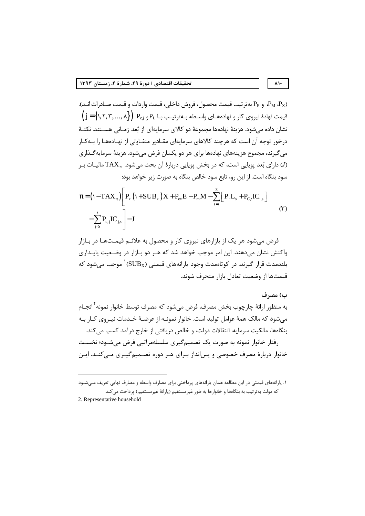$\lambda$ 

و P<sub>E</sub> به ترتيب قيمت محصول، فروش داخلي، قيمت واردات و قيمت صـادرات انـد). A<sub>M</sub> P<sub>E</sub>  $\left\{j\!=\!\!\left\{\text{1},\text{5},\text{6},...,\text{6}\right\}\right)\;P_{\text{c},j}\;P_{\text{c},j}\;P_{\text{c},j}\;$ قیمت نهادهٔ نیروی کار و نهادههـای واسـطه بـهترتیـب بـا  $P_{\text{c},j}\;P_{\text{c},j}\;P_{\text{c},j}\;P_{\text{c},j}\;P_{\text{c},j}\;P_{\text{c},j}\;P_{\text{c},j}\;P_{\text{c},j}\;P_{\text{c},j}\;P_{\$ نشان داده می شود. هزینهٔ نهادهها مجموعهٔ دو کالای سرمایهای از بُعد زمـانی هســتند. نکتــهٔ درخور توجه آن است که هرچند کالاهای سرمایهای مقـادیر متفـاوتی از نهـادههـا را بــهکـار می گیرند، مجموع هزینههای نهادهها برای هر دو یکسان فرض میشود. هزینهٔ سرمایهگذاری ارای بُعد یوپایی است، که در بخش یوپایی دربارهٔ آن بحث میشود.  $\text{TAX}_\pi$  مالیـات بـر $J$ سود بنگاه است. از این رو، تابع سود خالص بنگاه به صورت زیر خواهد بود:

$$
\pi = \left(\mathbf{1} - \mathbf{T} \mathbf{A} \mathbf{X}_{\pi}\right) \left[\mathbf{P}_{\mathbf{x}} \left(\mathbf{1} + \mathbf{S} \mathbf{U} \mathbf{B}_{\mathbf{x}}\right) \mathbf{X} + \mathbf{P}_{\mathbf{ex}} \mathbf{E} - \mathbf{P}_{\mathbf{m}} \mathbf{M} - \sum_{s=1}^{Z} \left[\mathbf{P}_{\mathbf{1}} \mathbf{L}_{s} + \mathbf{P}_{\mathbf{C},s} \mathbf{I} \mathbf{C}_{s,s}\right] - \sum_{j=5}^{4} \mathbf{P}_{\mathbf{c},j} \mathbf{I} \mathbf{C}_{j,s}\right]
$$
\n
$$
(5)
$$

فرض می شود هر یک از بازارهای نیروی کار و محصول به علائـم قیمـتهـا در بـازار واکنش نشان میدهند. این امر موجب خواهد شد که هـر دو بـازار در وضـعیت پایـداری بلندمدت قرار گیرند. در کوتاهمدت وجود یارانههای قیمتی ( ${\rm SUB}_{\rm X}$ ) موجب می شود که قيمتها از وضعيت تعادل بازار منحرف شوند.

#### ب) مصرف

به منظور ارائهٔ چارچوب بخش مصرف، فرض می شود که مصرف توسط خانوار نمونه <sup>۲</sup> انجــام می شود که مالک همهٔ عوامل تولید است. خانوار نمونـه از عرضـهٔ خـدمات نیـروی کــار بــه بنگاهها، مالکیت سرمایه، انتقالات دولت، و خالص دریافتی از خارج درآمد کسب می کند. رفتار خانوار نمونه به صورت یک تصمیم گیری سلسلهمراتبی فرض می شـود؛ نخسـت خانوار دربارهٔ مصرف خصوصی و پسانداز بـرای هـر دوره تصـمیمگیـری مـی کنـد. ایـن

2. Representative household

١. يارانههاي قيمتي در اين مطالعه همان يارانههاي پرداختي براي مصارف واسطه و مصارف نهايي تعريف مـيشـود که دولت بهترتیب به بنگاهها و خانوارها به طور غیرمستقیم (یارانهٔ غیرمستقیم) پرداخت می کند.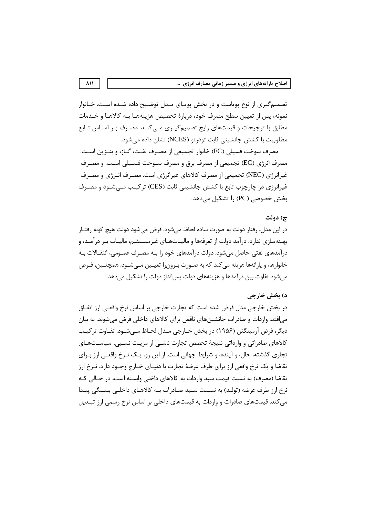تصميم گيري از نوع پوياست و در بخش پوياي ميدل توضيح داده شيده است. خيانوار نمونه، پس از تعیین سطح مصرف خود، دربارهٔ تخصیص هزینههـا بـه کالاهـا و خــدمات مطابق با ترجیحات و قیمتهای رایج تصمیمگیـری مـیکنـد. مصـرف بـر اسـاس تـابع مطلوبیت با کشش جانشینی ثابت تودر تو (NCES) نشان داده می شود.

مصرف سوخت فسيلي (FC) خانوار تجميعي از مصـرف نفـت، گـاز، و بنــزين اسـت. مصرف انرژی (EC) تجمیعی از مصرف برق و مصرف سـوخت فسـیلی اسـت. و مصـرف غیرانرژی (NEC) تجمیعی از مصرف کالاهای غیرانرژی است. مصرف انـرژی و مصـرف غیرانرژی در چارچوب تابع با کشش جانشینی ثابت (CES) ترکیب مے شـود و مصـرف بخش خصوصی (PC) ,ا تشکیل می دهد.

## ج) دولت

در اين مدل، رفتار دولت به صورت ساده لحاظ مي شود. فرض مي شود دولت هيچ گونه رفتـار بهینهسازی ندارد. درآمد دولت از تعرفهها و مالیــاتهــای غیرمســتقیم، مالیــات بــر درآمــد، و درآمدهای نفتی حاصل می شود. دولت درآمدهای خود را بـه مصـرف عمـومی، انتقـالات بـه خانوارها، و پارانهها هزینه می کند که به صـورت بـرون;ا تعیـین مـی شـود. همچنـین، فـرض میشود تفاوت بین درآمدها و هزینههای دولت پسانداز دولت را تشکیل میدهد.

## د) بخش خارجي

در بخش خارجی مدل فرض شده است که تجارت خارجی بر اساس نرخ واقعـی ارز اتفــاق می|فتد. واردات و صادرات جانشینهای ناقص برای کالاهای داخلی فرض میشوند. به بیان دیگر، فرض آرمینگتن (۱۹۵۶) در بخش خــارجی مــدل لحــاظ مــیشــود. تفــاوت ترکیــب کالاهای صادراتی و وارداتی نتیجهٔ تخصص تجارت ناشبی از مزیـت نسـبی، سیاسـتهـای تجاری گذشته، حال، و آینده، و شرایط جهانی است. از این رو، یـک نـرخ واقعـی ارز بـرای تقاضا و یک نرخ واقعی ارز برای طرف عرضهٔ تجارت با دنیـای خــارج وجــود دارد. نــرخ ارز تقاضا (مصرف) به نسبت قیمت سبد واردات به کالاهای داخلی وابسته است، در حـالی کـه نرخ ارز طرف عرضه (تولید) به نسـبت سـبد صـادرات بـه کالاهـای داخلـی بسـتگی پیـدا می کند. قیمتهای صادرات و واردات به قیمتهای داخلی بر اساس نرخ رسمی ارز تبـدیل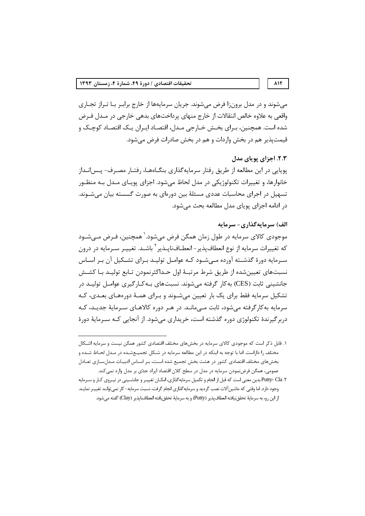مي شوند و در مدل برون;ا فرض مي شوند. جريان سرمايهها از خارج برابـر بـا تـراز تجـاري واقعی به علاوه خالص انتقالات از خارج منهای پرداختهای بدهی خارجی در مـدل فـرض شده است. همچنین، بـرای بخـش خـارجی مـدل، اقتصـاد ایـران یـک اقتصـاد کوچـک و قیمتیذیر هم در بخش واردات و هم در بخش صادرات فرض می شود.

# ٢.٣. اجزاي يوياي مدل

پویایی در این مطالعه از طریق رفتار سرمایهگذاری بنگـاههـا، رفتـار مصـرف- پـس|نــداز خانوارها، و تغییرات تکنولوژیکی در مدل لحاظ میشود. اجزای پویـای مـدل بـه منظـور تسهیل در اجرای محاسبات عددی مسئلهٔ بین دورهای به صورت گسسته بیان میشـوند. در ادامه اجزای یویای مدل مطالعه بحث می شود.

# الف) سرمایهگذاری- سرمایه

موجودی کالای سرمایه در طول زمان همگن فرض می،شود. ٰ همچنین، فـرض مـی،شـود که تغییرات سرمایه از نوع انعطاف پذیر – انعطــافنایــذیر <sup>۲</sup> باشــد. تغییــر ســرمایه در درون سے مایه دورۂ گذشته آوردہ مے شـود کـه عوامـل تولیـد بـرای تشـکیل آن بـر اسـاس نسبتهای تعیینشده از طریق شرط مرتبـهٔ اول حـداکثرنمودن تـابع تولیـد بـا کشـش جانشینی ثابت (CES) به کا<sub>ر</sub> گرفته می شوند. نسبتهای بـه *ک*ـار گیری عوامـل تولیـد در تشکیل سرمایه فقط برای یک بار تعیین میشـوند و بـرای همـهٔ دورههـای بعـدی، کـه سرمایه به کار گرفته می شود، ثابت مے مانـد. در هـر دوره کالاهـای سـرمایهٔ جدیـد، کـه دربر گیرندهٔ تکنولوژی دوره گذشته است، خریداری می شود. از آنجایی کـه سـرمایهٔ دورهٔ

#### $\lambda$

۱. قابل ذکر است که موجودی کالای سرمایه در بخشهای مختلف اقتصادی کشور همگن نیست و سرمایه اشـکال مختلف را داراست. اما با توجه به اینکه در این مطالعه سرمایه در شـکل تجمیـعشـده در مـدل لحـاظ شـده و بخشهای مختلف اقتصادی کشور در هشت بخش تجمیع شده اسـت، بـر اسـاس ادبیـات مـدلسـازی تعـادل عمومی، همگن فرضنمودن سرمایه در مدل در سطح کلان اقتصاد ایراد جدّی بر مدل وارد نمی کند.

۲. Putty- Cla بدین معنی است که قبل از انجام و تکمیل سرمایهگذاری، امکـان تغییـر و جانشـینی در نیـروی کـار و سـرمایه وجود دارد. اما وقتی که ماشین آلات نصب گردید و سرمایهگذاری انجام گرفت، نسبت سرمایه-کار نمیتوانـد تغییـر نمایـد. از اين رو، به سرمايهٔ تحقق نيافته انعطاف پذير (Putty) و به سرمايهٔ تحقق يافته انعطاف ناپذير (Clay) گفته مي شود.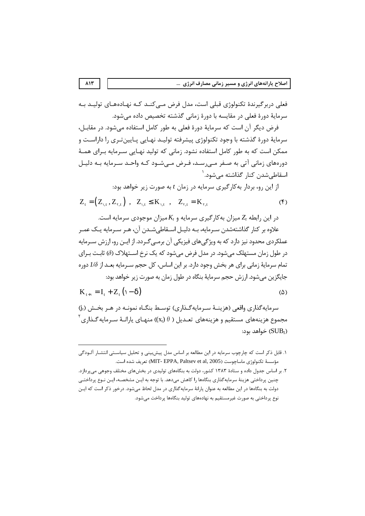فعلے دربر گیرندۂ تکنولوژی قبلے است، مدل فرض مے کنید کیه نهیادههیای تولیید په سرمايهٔ دورهٔ فعلی در مقايسه با دورهٔ زمانی گذشته تخصيص داده می شود.

فرض دیگر آن است که سرمایهٔ دورهٔ فعلی به طور کامل استفاده میشود. در مقابـل، سرمايهٔ دورهٔ گذشته با وجود تکنولوژي پيشرفته توليـد نهـايي پـايينتـري را داراسـت و ممکن است که به طور کامل استفاده نشود. زمانی که تولید نهـایی سـرمایه بـرای همـهٔ دورههای زمانی آتی به صـفر مـی٫سـد، فـرض مـیشـود کـه واحـد سـرمایه بـه دلیـل اسقاطے شدن کنار گذاشته مے شود. <sup>۱</sup>

از این رو، بردار به کارگیری سرمایه در زمان t به صورت زیر خواهد بود:

$$
Z_{t} = (Z_{1,t}, Z_{\tau,t}) \ , \ Z_{1,t} \leq K_{1,t} \ , \ Z_{\tau,t} = K_{\tau,t} \tag{5}
$$

در این رابطه  $Z_t$  میزان به کار گیری سرمایه و  $K_t$ میزان موجودی سرمایه است.

علاوه بر کنار گذاشتهشدن سـرمایه، بـه دلیـل اسـقاطی«شـدن آن، هـر سـرمایه یـک عمـر عملکردی محدود نیز دارد که به ویژگی های فیزیکی آن برمـی *گـ*ردد. از ایـن رو، ارزش سـرمایه در طول زمان مستهلک می شود. در مدل فرض می شود که یک نرخ اســتهلاک (∂) ثابـت بـرای تمام سرمايهٔ زمانی برای هر بخش وجود دارد. بر اين اساس، كل حجم سـرمايه بعــد از 1⁄8 دوره جايگزين مي شود. ارزش حجم سرمايۀ بنگاه در طول زمان به صورت زير خواهد بود:

$$
K_{t+1} = I_t + Z_t \left( 1 - \delta \right) \tag{2}
$$

سرمايه گذاري واقعي (هزينـهٔ سـرمايه گـذاري) توسـط بنگـاه نمونـه در هـر بخـش (j<sub>t</sub>) مجموع هزینههای مستقیم و هزینههای تعـدیل (  $(\mathrm{x_t})$   $\theta$  منهـای پارانـهٔ سـرمایه گـذاری $^{\mathsf{T}}$ خواهد بود: ( $\text{SUB}_{\text{I}}$ 

۱. قابل ذکر است که چارچوب سرمایه در این مطالعه بر اساس مدل پیش بینی و تحلیل سیاستی انتشـار آلـودگی مؤسسة تكنولوژي ماساچوست (MIT- EPPA, Paltsev et al, 2005) تعريف شده است.

۲. بر اساس جدول داده و ستادهٔ ۱۳۸۳ کشور، دولت به بنگاههای تولیدی در بخشهای مختلف وجوهی میپردازد. چنین پرداختی هزینهٔ سرمایهگذاری بنگاهها را کاهش میدهد. با توجه به ایـن مشخصــه، ایـن نـوع پرداختــی دولت به بنگاهها در این مطالعه به عنوان یارانهٔ سرمایهگذاری در مدل لحاظ میشود. درخور ذکر است که ایـن نوع پرداختی به صورت غیرمستقیم به نهادههای تولید بنگاهها پرداخت میشود.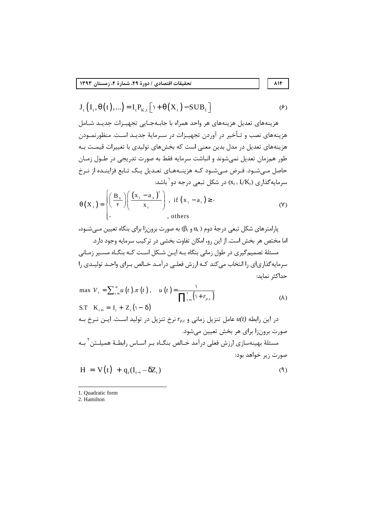$$
J_{t}\left(I_{t},\theta(t),...\right)=I_{t}P_{K,t}\left[\iota+\theta(X_{t})-SUB_{t}\right]
$$
\n(9)

هزینههای تعدیل هزینههای هر واحد همراه با جابـهجـایی تجهیـزات جدیـد شـامل هزینههای نصب و تـأخیر در آوردن تجهیـزات در سـرمایهٔ جدیـد اسـت. منظورنمـودن هزینههای تعدیل در مدل بدین معنی است که بخشهای تولیدی با تغییرات قیمـت بـه طور همزمان تعدیل نمی شوند و انباشت سرمایه فقط به صورت تدریجی در طـول زمـان حاصل مـیشـود. فـرض مـیشـود کـه هزینـههـای تعـدیل یـک تـابع فزاینـده از نـرخ سرمایهگذاری (Kt= ${\rm I_{\it t}}/{\rm K_{\it t}}$ ) در شکل تبعی درجه دو $\rm t'$  باشد:

$$
\theta(X_{t}) = \begin{cases} \left(\frac{B_{x}}{\tau}\right) \left(\frac{\left(x_{t} - a_{x}\right)^{r}}{x_{t}}\right), & \text{if } (x_{t} - a_{t}) \geq \cdot \\ . & , \text{others} \end{cases}
$$
 (V)

پارامترهای شکل تبعی درجهٔ دوم ( $\alpha_{\rm t}$  و  $\beta_{\rm t}$ ) به صورت برون;ا برای بنگاه تعیین مــیشــود، اما مختص هر بخش است. از این رو، امکان تفاوت بخشی در ترکیب سرمایه وجود دارد. مسئلهٔ تصمیم گیری در طول زمانی بنگاه بـه ایــن شــکل اسـت کــه بنگــاه مســیر زمــانی سرمایه گذاریای را انتخاب می کند کـه ارزش فعلـی درآمـد خـالص بـرای واحـد تولیـدی را حداكثر نمايد:

max 
$$
V_t = \sum_{t=1}^{\infty} u(t) \cdot \pi(t)
$$
,  $u(t) = \frac{1}{\prod_{t=1}^{t} (1 + r_{p,t})}$  (A)  
\nS.T  $K_{t+1} = I_t + Z_t(1 - \delta)$   
\n $c_t |_{L}^{t} = \frac{1}{\prod_{t=1}^{t} (1 + r_{p,t})}$   
\n $v_t = r_{p,t}$   $\frac{1}{2} \int u(t) du(t) du(t) \cdot \frac{1}{2} \int u(t) du(t) \cdot \frac{1}{2} \int u(t) \cdot \frac{1}{2} \cdot \frac{1}{2} \cdot \frac{1}{2} \cdot \frac{1}{2} \cdot \frac{1}{2} \cdot \frac{1}{2} \cdot \frac{1}{2} \cdot \frac{1}{2} \cdot \frac{1}{2} \cdot \frac{1}{2} \cdot \frac{1}{2} \cdot \frac{1}{2} \cdot \frac{1}{2} \cdot \frac{1}{2} \cdot \frac{1}{2} \cdot \frac{1}{2} \cdot \frac{1}{2} \cdot \frac{1}{2} \cdot \frac{1}{2} \cdot \frac{1}{2} \cdot \frac{1}{2} \cdot \frac{1}{2} \cdot \frac{1}{2} \cdot \frac{1}{2} \cdot \frac{1}{2} \cdot \frac{1}{2} \cdot \frac{1}{2} \cdot \frac{1}{2} \cdot \frac{1}{2} \cdot \frac{1}{2} \cdot \frac{1}{2} \cdot \frac{1}{2} \cdot \frac{1}{2} \cdot \frac{1}{2} \cdot \frac{1}{2} \cdot \frac{1}{2} \cdot \frac{1}{2} \cdot \frac{1}{2} \cdot \frac{1}{2} \cdot \frac{1}{2} \cdot \frac{1}{2} \cdot \frac{1}{2} \cdot \frac{1}{2} \cdot \frac{1}{2} \cdot \frac{1}{2} \cdot \frac{1}{2} \cdot \frac{1}{2} \cdot \frac{1}{2} \cdot \frac{1}{2} \cdot \frac{1}{2} \cdot \frac{1}{2} \cdot \frac{1}{2} \cdot \frac{1}{2} \cdot \frac{1}{2} \cdot \frac{1}{2} \cdot \frac{1}{2} \cdot \frac{1}{2} \cdot \frac{1}{2} \cdot \frac{1}{2} \cdot \frac{1}{2} \cdot \frac{1}{2} \cdot \frac{1}{2} \cdot \frac{1}{2$ 

1. Ouadratic form

2. Hamilton

۸۱۴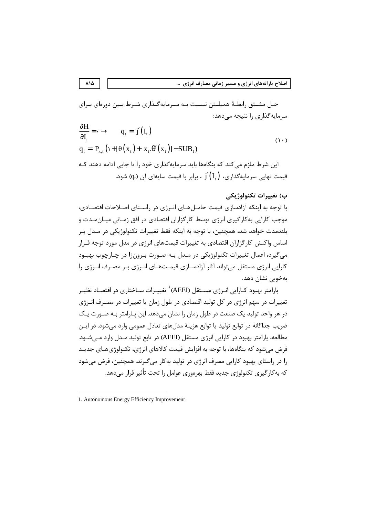حـل مشـتق رابطـهٔ همیلـتن نسـبت بـه سـرمایهگـذاری شـرط بـین دورهای بـرای سرمایه گذاری را نتیجه می دهد:

$$
\frac{\partial H}{\partial I_t} = \cdot \to \quad q_t = j'(I_t)
$$
\n
$$
q_t = P_{k,t} \left( 1 + [\theta(x_t) + x_t \cdot \theta'(x_t)] - \text{SUB}_I \right)
$$
\n
$$
\text{Use } \phi_t = \phi_t \text{ and } \phi_t = \phi_t \text{ and } \phi_t = \phi_t \text{ and } \phi_t = \phi_t \text{ and } \phi_t = \phi_t \text{ and } \phi_t = \phi_t \text{ and } \phi_t = \phi_t \text{ and } \phi_t = \phi_t \text{ and } \phi_t = \phi_t \text{ and } \phi_t = \phi_t \text{ and } \phi_t = \phi_t \text{ and } \phi_t = \phi_t \text{ and } \phi_t = \phi_t \text{ and } \phi_t = \phi_t \text{ and } \phi_t = \phi_t \text{ and } \phi_t = \phi_t \text{ and } \phi_t = \phi_t \text{ and } \phi_t = \phi_t \text{ and } \phi_t = \phi_t \text{ and } \phi_t = \phi_t \text{ and } \phi_t = \phi_t \text{ and } \phi_t = \phi_t \text{ and } \phi_t = \phi_t \text{ and } \phi_t = \phi_t \text{ and } \phi_t = \phi_t \text{ and } \phi_t = \phi_t \text{ and } \phi_t = \phi_t \text{ and } \phi_t = \phi_t \text{ and } \phi_t = \phi_t \text{ and } \phi_t = \phi_t \text{ and } \phi_t = \phi_t \text{ and } \phi_t = \phi_t \text{ and } \phi_t = \phi_t \text{ and } \phi_t = \phi_t \text{ and } \phi_t = \phi_t \text{ and } \phi_t = \phi_t \text{ and } \phi_t = \phi_t \text{ and } \phi_t = \phi_t \text{ and } \phi_t = \phi_t \text{ and } \phi_t = \phi_t \text{ and } \phi_t = \phi_t \text{ and } \phi_t = \phi_t \text{ and } \phi_t = \phi_t \text{ and } \phi_t = \phi_t \text{ and } \phi_t = \phi_t \text{ and } \phi_t = \phi_t \text{ and } \phi_t = \phi_t \text{ and } \phi_t = \phi_t \text{ and } \phi_t = \phi_t \text{ and } \phi_t = \phi_t \text{ and } \phi_t = \phi_t \text{ and } \phi_t = \phi_t \text{ and } \phi_t = \phi_t \text{ and } \phi_t = \phi_t \text{ and } \phi_t = \phi_t \text{ and } \phi_t = \phi_t \text{ and }
$$

قیمت نهایی سرمایه گذاری،  $\check{\mathsf{f}}'( \mathsf{I},\mathsf{I})$  ، برابر با قیمت سایهای آن  $\mathsf{q}_\mathsf{t}$  شود.

# ب) تغييرات تكنولوژيكى

با توجه به اینکه آزادسازی قیمت حامـل هـای انـرژی در راسـتای اصـلاحات اقتصـادی، موجب کارایی به کار گیری انرژی توسط کار گزاران اقتصادی در افق زمـانی میـان،مـدت و بلندمدت خواهد شد، همچنین، با توجه به اینکه فقط تغییرات تکنولوژیکی در مــدل بـر اساس واکنش کارگزاران اقتصادی به تغییرات قیمتهای انرژی در مدل مورد توجه قـرار مي گيرد، اعمال تغييرات تكنولوژيكي در مـدل بـه صـورت بـرونزا در چـارچوب بهبـود کارایی انرژی مستقل میتواند آثار آزادسـازی قیمـتهـای انـرژی بـر مصـرف انـرژی را بەخوبى نشان دھد.

یارامتر بهبود کـارایی انـرژی مســتقل (AEEI)` تغییـرات ســاختاری در اقتصـاد نظیـر تغییرات در سهم انرژی در کل تولید اقتصادی در طول زمان یا تغییرات در مصـرف انـرژی در هر واحد تولید یک صنعت در طول زمان را نشان می دهد. این پـارامتر بـه صـورت یـک ضریب جداگانه در توابع تولید یا توابع هزینهٔ مدلهای تعادل عمومی وارد می شود. در ایــن مطالعه، پارامتر بهبود در کارایی انرژی مستقل (AEEI) در تابع تولید مــدل وارد مــیشــود. فرض می شود که بنگاهها، با توجه به افزایش قیمت کالاهای انرژی، تکنولوژیهـای جدیـد را در راستای بهبود کارایی مصرف انرژی در تولید بهکار میگیرند. همچنین، فرض می شود که بهکارگیری تکنولوژی جدید فقط بهرهوری عوامل را تحت تأثیر قرار مے ٖدهد.

 $\lambda$ 1 $\Delta$ 

<sup>1.</sup> Autonomous Energy Efficiency Improvement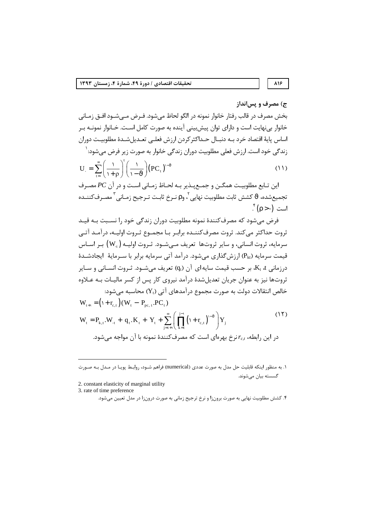# ۸۱۶

# ج) مصرف و پس انداز

بخش مصرف در قالب رفتار خانوار نمونه در الگو لحاظ میشود. فـرض مـیشــود افــق زمــانی خانوار بي نهايت است و داراي توان پيش بيني آينده به صورت كامل اسـت. خــانوار نمونــه بـر اساس پايهٔ اقتصاد خرد بـه دنبـال حـداکثر کردن ارزش فعلـی تعـدیل شـدهٔ مطلوبیـت دوران زندگی خود است. ارزش فعلی مطلوبیت دوران زندگی خانوار به صورت زیر فرض می شود: <sup>(</sup>  $\sum_{i=1}^{\infty} \begin{pmatrix} 1 \\ 1 \end{pmatrix}^{t} \begin{pmatrix} 1 \\ 1 \end{pmatrix}$  $\Delta \Delta$ 

$$
U_{.} = \sum_{t=1}^{\infty} \left( \frac{1}{1+\rho} \right) \left( \frac{1}{1-\vartheta} \right) (PC_{t})
$$
  
این تابع مطلوبیت همگن و جمعپذیر به لحاظ زمانی است و در آن *PC* مصرف

تجميعشده،  $\vartheta$  كشش ثابت مطلوبيت نهايي ، وp نـرخ ثابـت تـرجيح زمـاني ّ مصـرف<code>كننـده</code>  $\int_{0}^{x}$ است  $\left( \cdot <$   $\Omega \right)$ 

فرض میشود که مصرفکنندهٔ نمونه مطلوبیت دوران زندگی خود را نسـبت بـه قیـد ثروت حداکثر می کند. ثروت مصرف کننــده برابـر بـا مجمــوع ثـروت اولیــه، درآمــد آتــی سرمايه، ثروت انساني، و ساير ثروتها تعريف مـي شـود. ثـروت اوليـه (W<sub>.t</sub>) بـر اسـاس قیمت سرمایه (P<sub>kt)</sub> ارزش گذاری می شود. در آمد آتی سرمایه برابر با سـرمایهٔ |یجادشـدهٔ درزمانی K<sub>t</sub> ،t، بر حسب قیمت سایه $\mathfrak{g}_0$  آن (q<sub>t</sub>) تعریف می شــود. ثــروت انســانی و ســایر ثروتها نيز به عنوان جريان تعديل شدهٔ درآمد نيروي کار پس از کسر ماليـات بــه عــلاوه خالص انتقالات دولت به صورت مجموع درآمدهای آتی (Yı) محاسبه می شود:

$$
W_{t+1} = (1 + r_{c,t})(W_t - P_{pc,t}.PC_t)
$$
\n
$$
W_t = P_{k,t}.W_{t} + q_t.K_t + Y_t + \sum_{j=t+1}^{\infty} \left( \prod_{k=t}^{j-1} (1 + r_{c,t})^{-\vartheta} \right) Y_j
$$
\n
$$
P_{k,t} = P_{k,t}.W_{t} + \sum_{j=t+1}^{\infty} \left( \prod_{k=t}^{j-1} (1 + r_{c,t})^{-\vartheta} \right) Y_j
$$
\n
$$
P_{k,t} = P_{k,t}.W_{t} + \sum_{j=t+1}^{\infty} \left( \prod_{k=t}^{j-1} (1 + r_{c,t})^{-\vartheta} \right) Y_j
$$
\n
$$
P_{k,t} = P_{k,t}.W_{t} + \sum_{j=t+1}^{\infty} \left( \prod_{k=t+1}^{j-1} (1 + r_{c,t})^{-\vartheta} \right) Y_j
$$
\n
$$
P_{k,t} = P_{k,t}.W_{t} + \sum_{j=t+1}^{\infty} \left( \prod_{k=t+1}^{j-1} (1 + r_{c,t})^{-\vartheta} \right) Y_j
$$
\n
$$
P_{k,t} = P_{k,t}.W_{t} + \sum_{j=t+1}^{\infty} \left( \prod_{k=t+1}^{j-1} (1 + r_{c,t})^{-\vartheta} \right) Y_j
$$
\n
$$
P_{k,t} = P_{k,t}.W_{t} + \sum_{k=t+1}^{\infty} \left( \prod_{k=t+1}^{j-1} (1 + r_{c,t})^{-\vartheta} \right) Y_j
$$
\n
$$
P_{k,t} = P_{k,t}.W_{t} + \sum_{k=t+1}^{\infty} \left( \prod_{k=t+1}^{j-1} (1 + r_{c,t})^{-\vartheta} \right) Y_j
$$

۱. به منظور اینکه قابلیت حل مدل به صورت عددی (numerical) فراهم شــود، روابـط پویـا در مــدل بــه صــورت گسسته بیان می شوند.

2. constant elasticity of marginal utility

3. rate of time preference

۴. کشش مطلوبیت نهایی به صورت برونزا و نرخ ترجیح زمانی به صورت درونزا در مدل تعیین میشود.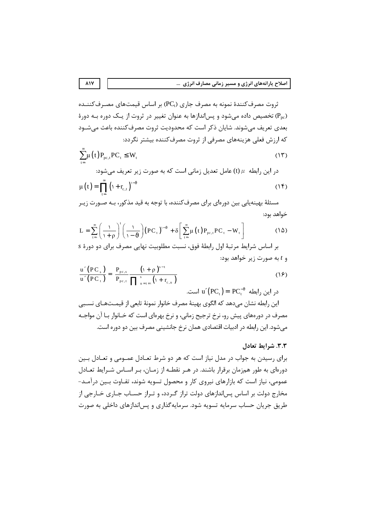ثروت مصرف کنندهٔ نمونه به مصرف جاری (PC<sub>t)</sub> بر اساس قیمتهای مصرف *ک*ننیده تخصیص داده می شود و پس اندازها به عنوان تغییر در ثروت از یک دوره بـه دورهٔ  $(P_{pc})$ بعدی تعریف می شوند. شایان ذکر است که محدودیت ثروت مصرف کننده باعث می شــود که ارزش فعلی هزینههای مصرفی از ثروت مصرف کننده بیشتر نگردد:

$$
\sum_{t=1}^{\infty} \mu(t) P_{pc,t} P C_t \le W_t
$$
\n(17)

\n2. (19)

\n3. (20)

$$
\mu(t) = \prod_{t=1}^{\infty} (1 + r_{c,t})^{1-\theta} \tag{15}
$$

مسئلهٔ بهینهپایی بین دورهای برای مصرفکننده، با توجه به قید مذکور، بـه صـورت زیـر خواهد بود:

$$
L = \sum_{t=1}^{\infty} \left( \frac{1}{1+\rho} \right)^t \left( \frac{1}{1-\vartheta} \right) (PC_{t})^{1-\vartheta} + \delta \left[ \sum_{t=1}^{\infty} \mu(t) P_{pc,t} PC_{t} - W_{t} \right]
$$
(1\vartheta)

بر اساس شرایط مرتبهٔ اول رابطهٔ فوق، نسبت مطلوبیت نهایی مصرف برای دو دورهٔ s و  $t$ به صورت زير خواهد بود:

$$
\frac{\mathbf{u}'(PC_s)}{\mathbf{u}'(PC_t)} = \frac{P_{pc,s}}{P_{pc,t}} \frac{(\mathbf{v} + \mathbf{p})^{s-t}}{\prod_{u=t+1}^{s} (\mathbf{v} + \mathbf{r}_{c,u})}
$$
(19)

$$
u'(PC_{t}) = PC_{t}^{-\vartheta}
$$

این رابطه نشان میدهد که الگوی بهینهٔ مصرف خانوار نمونهٔ تابعی از قیمـتهـای نسـبی مصرف در دورههای پیش رو، نرخ ترجیح زمانی، و نرخ بهرهای است که خـانوار بـا آن مواجـه می شود. این رابطه در ادبیات اقتصادی همان نرخ جانشینی مصرف بین دو دوره است.

# ٣.٣. شرايط تعادل

برای رسیدن به جواب در مدل نیاز است که هر دو شرط تعـادل عمـومی و تعـادل بـین دورهای به طور همزمان برقرار باشند. در هـر نقطـه از زمـان، بـر اسـاس شـرايط تعـادل عمومی، نیاز است که بازارهای نیروی کار و محصول تسویه شوند، تفـاوت بـین درآمـد-مخارج دولت بر اساس پس اندازهای دولت تراز گردد، و تـراز حسـاب جـاری خـارجی از طريق جريان حساب سرمايه تسويه شود. سرمايه گذاري و پس اندازهاي داخلي به صورت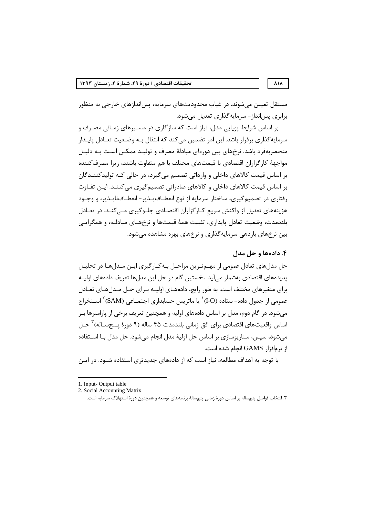مستقل تعیین می شوند. در غیاب محدودیتهای سرمایه، پس|ندازهای خارجی به منظور برابري پسانداز - سرمايه گذاري تعديل مي شود.

بر اساس شرایط پویایی مدل، نیاز است که سازگاری در مسـیرهای زمـانی مصـرف و سرمایه گذاری برقرار باشد. این امر تضمین می کند که انتقال بـه وضـعیت تعـادل پایـدار منحصربهفرد باشد. نرخهای بین دورهای مبادلهٔ مصرف و تولیـد ممکـن اسـت بـه دلیـل مواجههٔ کارگزاران اقتصادی با قیمتهای مختلف با هم متفاوت باشند، زیرا مصرف کننده بر اساس قیمت کالاهای داخلی و وارداتی تصمیم می گیرد، در حالی کـه تولیدکننــدگان بر اساس قیمت کالاهای داخلی و کالاهای صادراتی تصمیم گیری می کننــد. ایــن تفــاوت رفتاري در تصميم گيري، ساختار سرمايه از نوع انعطـاف پــذير – انعطــاف<code>ناپــذير، و وجــود</code> هزینههای تعدیل از واکنش سریع کـارگزاران اقتصـادی جلـوگیری مـی کنـد. در تعـادل بلندمدت، وضعیت تعادل پایداری، تثبیت همهٔ قیمتها و نرخهـای مبادلـه، و همگرایـی بین نرخهای بازدهی سرمایهگذاری و نرخهای بهره مشاهده می شود.

# ۴. دادهها و حل مدل

حل مدلهای تعادل عمومی از مهـمتـرین مراحـل بـهکـارگیری ایـن مـدلهـا در تحلیـل پدیدههای اقتصادی بهشمار می آید. نخستین گام در حل این مدلها تعریف دادههای اولیـه برای متغیرهای مختلف است. به طور رایج، دادههـای اولیـه بـرای حـل مـدلهـای تعـادل عمومی از جدول داده- ستاده (O-I)` یا ماتریس حسابداری اجتمــاعی (SAM) ` اســتخراج می شود. در گام دوم، مدل بر اساس دادههای اولیه و همچنین تعریف برخی از پارامترها بـر اساس واقعيتهاي اقتصادي براي افق زماني بلندمدت ۴۵ ساله (۹ دورهٔ پـنجسـاله) ٰ حـل میشود، سپس، سناریوسازی بر اساس حل اولیهٔ مدل انجام میشود. حل مدل بـا اســتفاده ا; نر مافزا, GAMS انجام شده است.

با توجه به اهداف مطالعه، نیاز است که از دادههای جدیدتری استفاده شــود. در ایــن

#### $\lambda$

<sup>1.</sup> Input-Output table

<sup>2.</sup> Social Accounting Matrix

۳. انتخاب فواصل پنجساله بر اساس دورهٔ زمانی پنجسالهٔ برنامههای توسعه و همچنین دورهٔ استهلاک سرمایه است.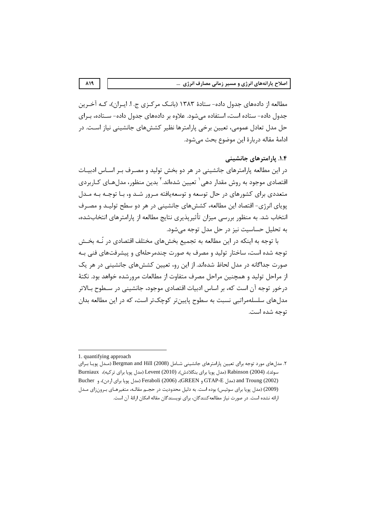مطالعه از دادههای جدول داده- ستادهٔ ۱۳۸۳ (بانـک مرکـزی ج. ا. ابـران)، کـه آخـرین جدول داده- ستاده است، استفاده می شود. علاوه بر دادههای جدول داده- سـتاده، بـرای حل مدل تعادل عمومی، تعیین برخی پارامترها نظیر کششهای جانشینی نیاز است. در ادامهٔ مقاله دربارهٔ این موضوع بحث می شود.

# ۱.۴. پارامترهای جانشینی

در این مطالعه پارامترهای جانشینی در هر دو بخش تولید و مصـرف بـر اسـاس ادبیـات اقتصادی موجود به روش مقدار دهی` تعیین شدهاند.<sup>۲</sup> بدین منظور، مدلهـای کـاربردی متعددی برای کشورهای در حال توسعه و توسعهپافته مـرور شـد و، بـا توجـه بـه مـدل یویای انرژی- اقتصاد این مطالعه، کشش های جانشینی در هر دو سطح تولیـد و مصـرف انتخاب شد. به منظور بررسی میزان تأثیریذیری نتایج مطالعه از پارامترهای انتخابشده، به تحليل حساسيت نيز در حل مدل توجه مي شود.

با توجه به اینکه در این مطالعه به تجمیع بخشهای مختلف اقتصادی در نُــه بخــش توجه شده است، ساختار تولید و مصرف به صورت چندمرحلهای و پیشرفتهای فنی بـه صورت جداگانه در مدل لحاظ شدهاند. از این رو، تعیین کشش های جانشینی در هر یک از مراحل تولید و همچنین مراحل مصرف متفاوت از مطالعات مرورشده خواهد بود. نکتهٔ درخور توجه آن است که، بر اساس ادبیات اقتصادی موجود، جانشینی در سـطوح بـالاتر مدل های سلسلهمراتبی نسبت به سطوح پایین تر کوچک تر است، که در این مطالعه بدان توجه شده است.

<sup>1.</sup> quantifying approach

۲. مدلهای مورد توجه برای تعیین پارامترهای جانشینی شـامل Bergman and Hill (2008) (مـدل پویـا بـرای سوئد)، Rabinson (2004) (مدل يويا براي بنگلادش)، Levent (2010) (مدل يويا براي تركيه)، Burniaux Bucher (مدل Reraboli (2006)، (GREEN و Feraboli (2006)، (2006) (مدل يويا براي اردن)، و Bucher (2009) (مدل پویا برای سوئیس) بوده است. به دلیل محدودیت در حجم مقالـه، متغیرهای بـرونزای مـدل ارائه نشده است. در صورت نیاز مطالعه کنندگان، برای نویسندگان مقاله امکان ارائهٔ آن است.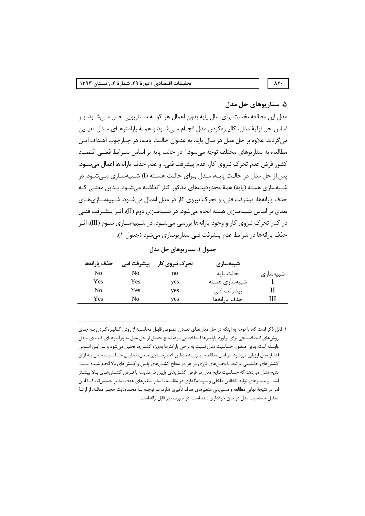## ۵. سنار بوهای حل مدل

 $\Lambda \Upsilon$ 

مدل این مطالعه نخست برای سال پایه بدون اعمال هر گونــه ســناریویی حــل مــیشــود. بــر اساس حل اوليهٔ مدل، كاليبرهكردن مدل انجـام مـىشـود و همـهٔ پارامترهـاى مـدل تعيـين میگردند. علاوه بر حل مدل در سال پایه، به عنـوان حالـت پایـه، در چـارچوب اهـداف ایـن مطالعه، به سناریوهای مختلف توجه مے شود. <sup>۱</sup> در حالت پایه بر اساس شـرایط فعلــی اقتصــاد کشور فرض عدم تحرک نیروی کار، عدم پیشرفت فنی، و عدم حذف پارانهها اعمال می شـود. پس از حل مدل در حالت پایـه، مـدل بـرای حالـت هسـته (I) شـبیهسـازی مـیشـود. در شبیهسازی هسته (پایه) همهٔ محدودیتهای مذکور کنار گذاشته میشــود. بـدین معنــی کــه حدف پارانهها، پیشرفت فنی، و تحرک نیروی کار در مدل اعمال میشـود. شــبیهسـازیهـای بعدی بر اساس شبیهسازی هسته انجام می شود. در شبیهسازی دوم (II)، اثـر پیشـرفت فنــی در کنار تحرک نیروی کار و وجود یارانهها بررسی می شـود. در شـبیهسـازی سـوم (III)، اثـر حذف پارانهها در شرايط عدم پيشرفت فني سنار پوسازي مي شود (جدول ١).

| حذف يارانهها   | پيشرفت فني | تحرک نیروی کار | شبیەسازى      |          |
|----------------|------------|----------------|---------------|----------|
| N <sub>0</sub> | No         | no             | حالت پايه     | شبيەسازى |
| Yes            | Yes        | yes            | شبیهسازی هسته |          |
| N <sub>0</sub> | Yes        | yes            | ييشرفت فني    | Н        |
| Yes            | No         | yes            | حذف يارانهها  | Ш        |

جدول ١. سناريوهاي حل مدل

١. قابل ذكر است كه، با توجه به اينكه در حل مدل هـاي تعـادل عمـومي قابـل محاسـبه از روش كـاليبرهكـردن بـه جـاي روش های اقتصادسنجی برای برآورد پارامترها استفاده میشود، نتایج حاصل از حل مدل به پارامترهـای کلیـدی مـدل وابسته است. بدین منظور، حساسیت مدل نسبت به برخی پارامترها بهویژه کششها تحلیل می شود و بـر ایــن اســاس اعتبار مدل ارزیابی میشود. در ایـن مطالعـه نیـز، بـه منظـور اعتبارسـنجی مـدل، تحلیـل حساسـیت مـدل بـه ازای کششهای جانشینی مرتبط با بخشهای انرژی در هر دو سطح کششهای پایین و کششهای بالا انجام شـده اسـت. نتایج نشان میدهد که حساسیت نتایج مدل در فرض کششهای پایین در مقایسه با فـرض کشـشهـای بـالا بیشـتر است و متغیرهای تولید ناخالص داخلی و سرمایهگذاری در مقایسه با سایر متغیرهای هدف بیشتر حساس|ند. امـا ایـن امر در نتیجهٔ نهایی مطالعه و مسیریابی متغیرهای هدف تأثیری ندارد. بـا توجــه بــه محــدودیتِ حجــم مقالــه، از ارائــهٔ تحلیل حساسیت مدل در متن خودداری شده است. در صورت نیاز قابل ارائه است.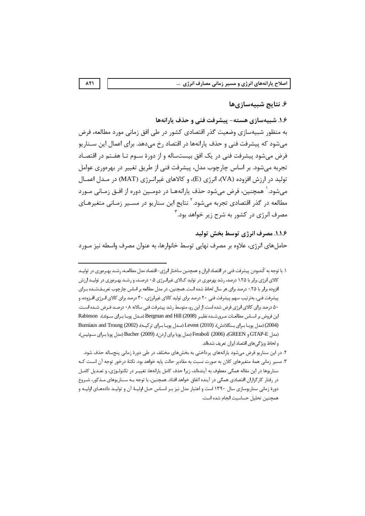# ۶. نتایج شبیهسازیها

۱.۶. شبیهسازی هسته- پیشرفت فنی و حذف یارانهها

به منظور شبیهسازی وضعیت گذر اقتصادی کشور در طی افق زمانی مورد مطالعه، فرض می شود که پیشرفت فنی و حذف پارانهها در اقتصاد رخ می دهد. برای اعمال این سـناریو فرض می شود پیشرفت فنی در یک افق بیستساله و از دورهٔ سـوم تـا هفـتم در اقتصـاد تجربه میشود. بر اساس چارچوب مدل، پیشرفت فنی از طریق تغییر در بهرەوری عوامل توليد در ارزش افزوده (VA)، انرژي (E)، و كالاهاي غيرانبرژي (MAT) در مـدل اعمـال مي شود. ` همچنين، فرض مي شود حذف پارانههـا در دومــين دوره از افــق زمــاني مــورد مطالعه در گذر اقتصادی تجربه میشود.<sup>۲</sup> نتایج این سناریو در مسـیر زمـانی متغیرهـای مصرف انرژی در کشور به شرح زیر خواهد بود. ۳

# 1.1.۶. مصرف انرژي توسط بخش توليد

حاملهای انرژی، علاوه بر مصرف نهایی توسط خانوارها، به عنوان مصرف واسطه نیز مـورد

 $\lambda$ ۲۱

١. با توجه به كُندبودن پيشرفت فني در اقتصاد ايران و همچنين ساختار انرژي-اقتصاد مدل مطالعـه، رشـد بهـرەوري در توليـد کالای انرژی برابر با ۱٫۲۵ درصد، رشد بهرهوری در تولید کـالای غیرانـرژی ۰٫۵ درصـد، و رشـد بهـرهوری در تولیـد ارزش افزوده برابر با ۲۵٫ درصد برای هر سال لحاظ شده است. همچنین، در مدل مطالعه بر اساس چارچوب تعریـفـشـده بـرای پیشرفت فنی، بهترتیب سهم پیشرفت فنی ۲۰ درصد برای تولید کالای غیرانرژی، ۳۰ درصد برای کالای انـرژی افـزوده، و ۵۰ درصد برای کالای انرژی فرض شده است. از این رو، متوسط رشد پیشرفت فنی سالانه ۰٫۸ درصـد فـرض شـده اسـت. این فروض بر اسـاس مطالعـات مـرورشـده نظيـر (2008) Bergman and Hill (مـدل پويـا بـراي سـوئد)، Rabinson (2004) (مدل یویـا بـرای بـنگلادش)، Levent (2010) (مـدل یویـا بـرای ترکیـه)، (2002) Burniaux and Troung (مدل GTAP-E و GREEN)، Feraboli (2006) (مدل پويا براي اردن)، Bucher (2009) (مدل پويا بـراي سـوئيس)، و لحاظ ویژگی های اقتصاد ایران تعریف شدهاند.

۲. در این سناریو فرض میشود پارانههای پرداختی به بخشهای مختلف در طی دورهٔ زمانی پنجساله حذف شود. ۳. مسیر زمانی همهٔ متغیرهای کلان به صورت نسبت به مقادیر حالت پایه خواهد بود. نکتهٔ درخور توجه آن است کـه سناريوها در اين مقاله همگي معطوف به آيندهاند، زيرا حذف كامل يارانهها، تغييـر در تكنولـوژي، و تعـديل كامـل در رفتار کارگزاران اقتصادی همگی در آینده اتفاق خواهد افتاد. همچنین، با توجه بـه سـنارپوهای مـذکور، شـروع

دورهٔ زمانی سناریوسازی سال ۱۳۹۰ است و اعتبار مدل نیز بـر اسـاس حـل اولیـهٔ آن و تولیـد دادههـای اولیـه و همچنین تحلیل حساسیت انجام شده است.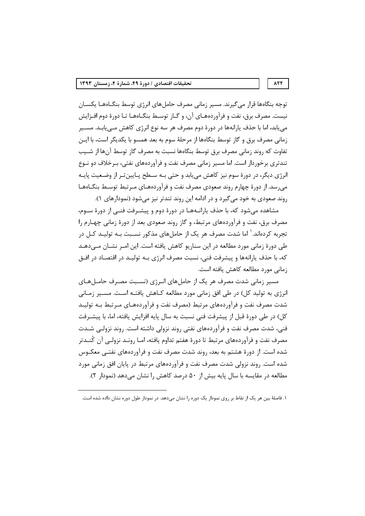توجه بنگاهها قرار می گیرند. مسیر زمانی مصرف حاملهای انرژی توسط بنگــاههــا یکســان نیست. مصرف برق، نفت و فرآوردههـای آن، و گــاز توســط بنگــاههــا تــا دورهٔ دوم افــزایش می یابد، اما با حذف پارانهها در دورهٔ دوم مصرف هر سه نوع انرژی کاهش مـی یابـد. مســیر زمانی مصرف برق و گاز توسط بنگاهها از مرحلهٔ سوم به بعد همسو با یکدیگر است، با ایـن تفاوت که روند زمانی مصرف برق توسط بنگاهها نسبت به مصرف گاز توسط آنها از شــیب تندتری برخوردار است. اما مسیر زمانی مصرف نفت و فرآوردههای نفتی، بـرخلاف دو نــوع انرژی دیگر، در دورهٔ سوم نیز کاهش می یابد و حتی بـه سـطح پـایینتـر از وضـعیت پایـه می رسد. از دورهٔ چهارم روند صعودی مصرف نفت و فرآوردههـای مـرتبط توسـط بنگـاههـا روند صعودي به خود مي گيرد و در ادامه اين روند تندتر نيز مي شود (نمودارهاي ١).

مشاهده میشود که، با حذف پارانــههـا در دورهٔ دوم و پیشــرفت فنــی از دورهٔ ســوم، مصرف برق، نفت و فرآوردههای مرتبط، و گاز روند صعودی بعد از دورهٔ زمانی چهـارم را تجربه کردهاند. ٰ اما شدت مصرف هر یک از حاملهای مذکور نسـبت بــه تولیــد کــل در طی دورهٔ زمانی مورد مطالعه در این سناریو کاهش یافته است. این امـر نشـان مـی،دهـد که، با حذف پارانهها و پیشرفت فنی، نسبت مصرف انرژی بــه تولیــد در اقتصـاد در افــق زمانی مورد مطالعه کاهش یافته است.

مسیر زمانی شدت مصرف هر یک از حاملهای انـرژی (نسـبت مصـرف حامـلهـای انرژی به تولید کل) در طی افق زمانی مورد مطالعه کــاهش یافتــه اسـت. مســیر زمــانی شدت مصرف نفت و فرآوردههای مرتبط (مصرف نفت و فرآوردههـای مـرتبط بـه تولیـد كل) در طي دورهٔ قبل از پيشرفت فني نسبت به سال پايه افزايش يافته، اما، با پيشـرفت فنی، شدت مصرف نفت و فرآوردههای نفتی روند نزولی داشته است. روند نزولـی شــدت مصرف نفت و فرآوردههای مرتبط تا دورهٔ هفتم تداوم یافته، امـا رونـد نزولـی آن کُنـدتر شده است. از دورهٔ هشتم به بعد، روند شدت مصرف نفت و فرآوردههای نفتــی معکــوس شده است. روند نزولی شدت مصرف نفت و فرآوردههای مرتبط در پایان افق زمانی مورد مطالعه در مقایسه با سال پایه بیش از ۵۰ درصد کاهش را نشان می دهد (نمودار ۲).

#### $ATT$

۱. فاصلهٔ بین هر یک از نقاط بر روی نمودار یک دوره را نشان میدهد. در نمودار طول دوره نشان داده شده است.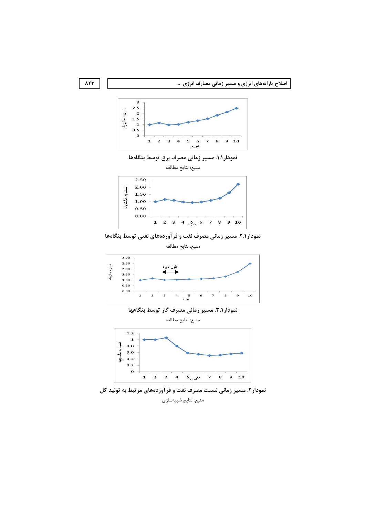



نمودار ۱.۱. مسیر زمانی مصرف برق توسط بنگاهها





نمودار ۲.۱. مسیر زمانی مصرف نفت و فرآوردههای نفتی توسط بنگاهها

منبع: نتايج مطالعه





منبع: نتايج مطالعه



نمودار۲. مسیر زمانی نسبت مصرف نفت و فر آوردههای مرتبط به تولید کل منبع: نتايج شبيهسازي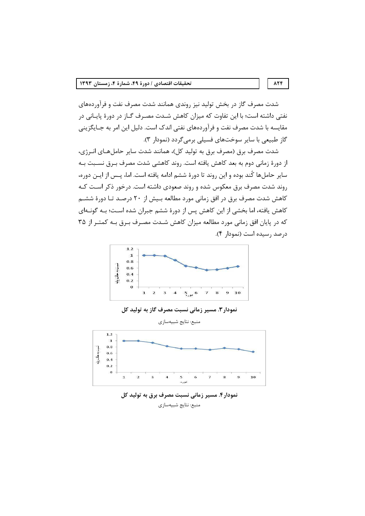شدت مصرف گاز در بخش تولید نیز روندی همانند شدت مصرف نفت و فرآوردههای نفتی داشته است؛ با این تفاوت که میزان کاهش شـدت مصـرف گـاز در دورهٔ پایـانی در مقایسه با شدت مصرف نفت و فرآوردههای نفتی اندک است. دلیل این امر به جـایگزینی گاز طبیعی با سایر سوختهای فسیلی برمیگردد (نمودار ۳).

شدت مصرف برق (مصرف برق به تولید کل)، همانند شدت سایر حاملهـای انــرژی، از دورهٔ زمانی دوم به بعد کاهش یافته است. روند کاهشی شدت مصرف بـرق نسـبت بـه سایر حاملها کُند بوده و این روند تا دورهٔ ششم ادامه یافته است. اما، پـس از ایــن دوره، روند شدت مصرف برق معکوس شده و روند صعودی داشته است. درخور ذکر اسـت کـه کاهش شدت مصرف برق در افق زمانی مورد مطالعه بـیش از ۲۰ درصـد تـا دورهٔ ششـم کاهش یافته، اما بخشی از این کاهش پس از دورهٔ ششم جبران شده اسـت؛ بـه گونــهای که در پایان افق زمانی مورد مطالعه میزان کاهش شـدت مصـرف بـرق بـه کمتـر از ۳۵ درصد رسيده است (نمودار ۴).



### نمودار ۳. مسیر زمانی نسبت مصرف گاز به تولید کل



نمودار۴. مسیر زمانی نسبت مصرف برق به تولید کل منبع: نتايج شبيهسازي

#### 874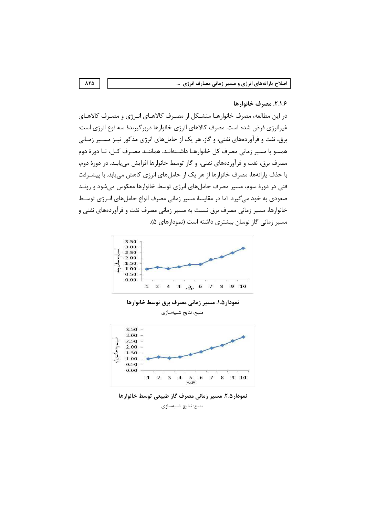## ٢.١.۶. مصرف خانوارها

در این مطالعه، مصرف خانوارهـا متشـكل از مصـرف كالاهـاي انـرژي و مصـرف كالاهـاي غیرانرژی فرض شده است. مصرف کالاهای انرژی خانوارها دربرگیرندهٔ سه نوع انرژی است: برق، نفت و فرآوردههای نفتی، و گاز. هر یک از حاملهای انرژی مذکور نیـز مسـیر زمـانی همسو با مسیر زمانی مصرف کل خانوارهـا داشـتهانـد. هماننـد مصـرف کـل، تـا دورهٔ دوم مصرف برق، نفت و فرآوردههای نفتی، و گاز توسط خانوارها افزایش می یابـد. در دورهٔ دوم، با حذف پارانهها، مصرف خانوارها از هر یک از حاملهای انرژی کاهش می یابد. با پیشــرفت فنی در دورهٔ سوم، مسیر مصرف حامل های انرژی توسط خانوارها معکوس می شود و رونـد صعودی به خود می گیرد. اما در مقایسهٔ مسیر زمانی مصرف انواع حاملهای انـرژی توسـط خانوارها، مسیر زمانی مصرف برق نسبت به مسیر زمانی مصرف نفت و فرآوردههای نفتی و مسیر زمانی گاز نوسان بیشتری داشته است (نمودارهای ۵).



نمودار ۱.۵. مسیر زمانی مصرف برق توسط خانوارها

منبع: نتايج شبيهسازي



نمودار ۲.۵. مسیر زمانی مصرف گاز طبیعی توسط خانوارها منبع: نتايج شبيهسازي

 $\lambda \Upsilon \Delta$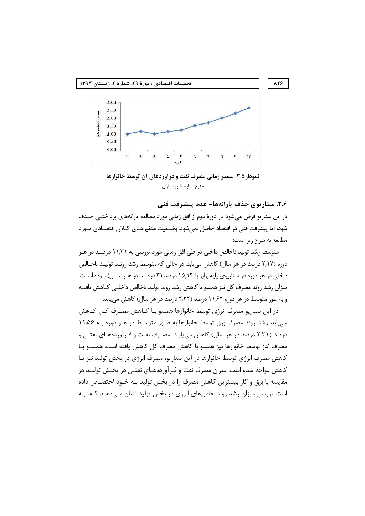

نمودار ۲.۵. مسیر زمانی مصرف نفت و فر آوردهای آن توسط خانوارها منبع: نتايج شبيهسازي

٢.۶. سناريوي حذف يارانهها- عدم پيشرفت فني

در این سناریو فرض میشود در دورهٔ دوم از افق زمانی مورد مطالعه پارانههای پرداختــی حــذف شود، اما پیشرفت فنی در اقتصاد حاصل نمی،شود. وضـعیت متغیرهـای کـلان اقتصـادی مــورد مطالعه به شرح زير است:

متوسط رشد تولید ناخالص داخلی در طی افق زمانی مورد بررسی به ۱۱٫۳۱ درصـد در هـر دوره (۲٬۱۷ درصد در هر سال) کاهش می یابد. در حالی که متوسط رشد رونـد تولیـد ناخـالص داخلی در هر دوره در سناریوی پایه برابر با ۱۵٬۹۲ درصد (۳ درصـد در هـر سـال) بـوده اسـت. میزان رشد روند مصرف کل نیز همسو با کاهش رشد روند تولید ناخالص داخلـبی کــاهش یافتــه و به طور متوسط در هر دوره ۱۱٬۶۲ درصد (۲٫۲۲ درصد در هر سال) کاهش می یابد.

در این سناریو مصرف انرژی توسط خانوارها همسو بـا کـاهش مصـرف کـل کـاهش می یابد. رشد روند مصرف برق توسط خانوارها به طـور متوسـط در هـر دوره بـه ۱۱٫۵۶ درصد (۲٫۲۱ درصد در هر سال) کاهش می یابـد. مصـرف نفـت و فـرآوردههـای نفتـی و مصرف گاز توسط خانوارها نیز همسو با کاهش مصرف کل کاهش یافته است. همســو بــا کاهش مصرف انرژی توسط خانوارها در این سناریو، مصرف انرژی در بخش تولید نیز بـا کاهش مواجه شده است. میزان مصرف نفت و فـرآوردههـای نفتـی در بخـش تولیـد در مقایسه با برق و گاز بیشترین کاهش مصرف را در بخش تولید بـه خـود اختصـاص داده است. بررسی میزان رشد روند حاملهای انرژی در بخش تولید نشان مـیدهـد کـه، بـه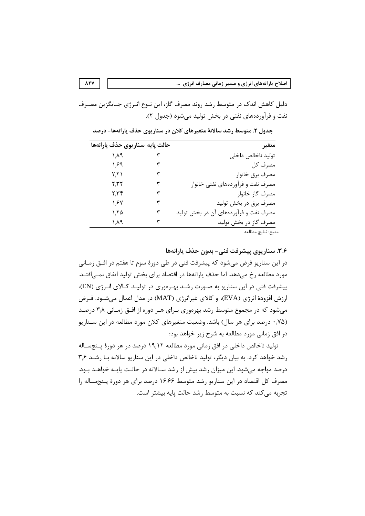دلیل کاهش اندک در متوسط رشد روند مصرف گاز، این نـوع انـرژی جـایگزین مصـرف نفت و فرآوردههای نفتی در بخش تولید می شود (جدول ۲).

| متغير                                 |   | حالت پايه سناريوي حذف يارانهها |
|---------------------------------------|---|--------------------------------|
| توليد ناخالص داخلي                    |   | ۱٬۸۹                           |
| مصرف کل                               | ٣ | ۱٬۶۹                           |
| مصرف برق خانوار                       | ٣ | ۲٫۲۱                           |
| مصرف نفت و فرآوردههای نفتی خانوار     | ٣ | ۲٫۳۲                           |
| مصرف گاز خانوار                       |   | ۲٫۳۴                           |
| مصرف برق در بخش توليد                 | ٣ | ۱٬۶۷                           |
| مصرف نفت و فرآوردههای آن در بخش تولید | ٣ | ۱٬۲۵                           |
| مصرف گاز در بخش تولید                 |   | ۱٬۸۹                           |
| منبع: نتايج مطالعه                    |   |                                |

جدول ۲. متوسط رشد سالانهٔ متغیرهای کلان در سناریوی حذف پارانهها- درصد

٣.۶. سناريوي پيشرفت فني- بدون حذف يارانهها در این سناریو فرض میشود که پیشرفت فنی در طی دورهٔ سوم تا هفتم در افـق زمـانی مورد مطالعه رخ می۵هد. اما حذف پارانهها در اقتصاد برای بخش تولید اتفاق نمـی|فتـد. پیشرفت فنی در این سناریو به صورت رشد بهرهوری در تولیـد کـالای انـرژی (EN)، ارزش افزودهٔ انرژی (EVA)، و کالای غیرانرژی (MAT) در مدل اعمال میشـود. فـرض می شود که در مجموع متوسط رشد بهرهوری بـرای هـر دوره از افـق زمـانی ۳٫۸ درصـد (۲۵۰ درصد برای هر سال) باشد. وضعیت متغیرهای کلان مورد مطالعه در این سـناریو در افق زمانی مورد مطالعه به شرح زیر خواهد بود:

توليد ناخالص داخلي در افق زماني مورد مطالعه ١٩٫١٢ درصد در هر دورة يـنجسـاله رشد خواهد کرد. به بیان دیگر، تولید ناخالص داخلی در این سناریو سالانه بـا رشـد ۳٫۶ درصد مواجه میشود. این میزان رشد بیش از رشد سـالانه در حالـت پایـه خواهـد بـود. مصرف کل اقتصاد در این سناریو رشد متوسط ۱۶٬۶۶ درصد برای هر دورهٔ پنجساله را تجربه می کند که نسبت به متوسط رشد حالت پایه بیشتر است.

**ATY**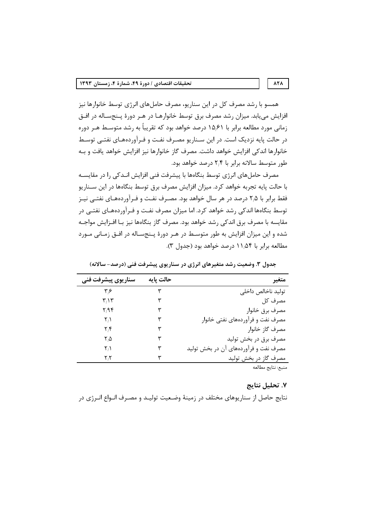همسو با رشد مصرف کل در این سناریو، مصرف حامل های انرژی توسط خانوارها نیز افزایش می یابد. میزان رشد مصرف برق توسط خانوارهـا در هـر دورهٔ پـنجسـاله در افـق زمانی مورد مطالعه برابر با ۱۵٬۶۱ درصد خواهد بود که تقریباً به رشد متوسـط هـر دوره در حالت پایه نزدیک است. در این سـناریو مصـرف نفـت و فـرآوردههـای نفتـی توسـط خانوارها اندكي افزايش خواهد داشت. مصرف گاز خانوارها نيز افزايش خواهد يافت و بـه طور متوسط سالانه برابر با ۲٫۴ درصد خواهد بود.

مصرف حاملهای انرژی توسط بنگاهها با پیشرفت فنی افزایش انـدکی را در مقایسـه با حالت پایه تجربه خواهد کرد. میزان افزایش مصرف برق توسط بنگاهها در این سـناریو فقط برابر با ۲٫۵ درصد در هر سال خواهد بود. مصـرف نفـت و فـرآوردههـای نفتــی نیـز توسط بنگاهها اندکی رشد خواهد کرد. اما میزان مصرف نفت و فـرآوردههـای نفتـی در مقايسه با مصرف برق اندكي رشد خواهد بود. مصرف گاز بنگاهها نيز بـا افـزايش مواجـه شده و این میزان افزایش به طور متوسط در هـر دورهٔ پـنجسـاله در افـق زمـانی مـورد مطالعه برابر با ۱۱٬۵۴ درصد خواهد بود (جدول ۳).

| سناريوي پيشرفت فني        | حالت پایه | متغير                                 |
|---------------------------|-----------|---------------------------------------|
| ۳۶                        |           | توليد ناخالص داخلى                    |
| ۳٬۱۳                      |           | مصرف کل                               |
| $\mathcal{M}/\mathcal{M}$ | ٣         | مصرف برق خانوار                       |
| ۲٫۱                       | ٣         | مصرف نفت و فرآوردههای نفتی خانوار     |
| ۲٫۴                       | ٣         | مصرف گاز خانوار                       |
| ۲٬۵                       | ٣         | مصرف برق در بخش توليد                 |
| ۲٫۱                       | ٣         | مصرف نفت و فرآوردههای آن در بخش تولید |
| ۲٫۲                       |           | مصرف گاز در بخش تولید                 |
|                           |           | منبع: نتايج مطالعه                    |

جدول ۳. وضعیت رشد متغیرهای انرژی در سناریوی پیشرفت فنی (درصد- سالانه)

#### ٧. تحليل نتايج

نتایج حاصل از سناریوهای مختلف در زمینهٔ وضـعیت تولیـد و مصـرف انـواع انـرژی در

#### $\lambda \Upsilon \Lambda$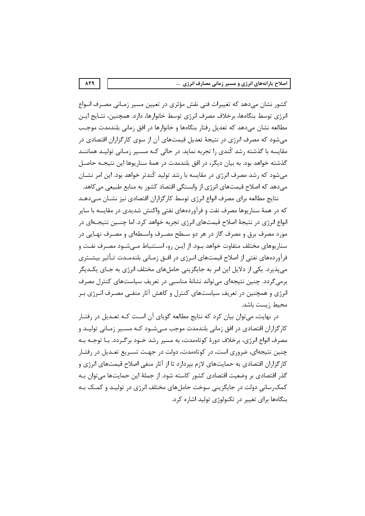کشو, نشان می،دهد که تغییرات فنی نقش مؤثری در تعیین مسیر زمـانی مصـرف انـواع انرژی توسط بنگاهها، برخلاف مصرف انرژی توسط خانوارها، دارد. همچنین، نتـایج ایـن مطالعه نشان مىدهد كه تعديل رفتار بنگاهها و خانوارها در افق زمانى بلندمدت موجب میشود که مصرف انرژی در نتیجهٔ تعدیل قیمتهای آن از سوی کارگزاران اقتصادی در مقایسه با گذشته رشد کُندی را تجربه نماید. در حالی کـه مســیر زمـانی تولیــد هماننــد گذشته خواهد بود. به بیان دیگر، در افق بلندمدت در همهٔ سناریوها این نتیجـه حاصـل میشود که رشد مصرف انرژی در مقایسه با رشد تولید کُندتر خواهد بود. این امر نشــان می دهد که اصلاح قیمتهای انرژی از وابستگی اقتصاد کشور به منابع طبیعی می کاهد.

نتایج مطالعه برای مصرف انواع انرژی توسط کارگزاران اقتصادی نیز نشـان مـے دهـد که در همهٔ سناریوها مصرف نفت و فرآوردههای نفتی واکنش شدیدی در مقایسه با سایر انواع انرژی در نتیجهٔ اصلاح قیمتهای انرژی تجربه خواهد کرد. اما چنـین نتیجـهای در مورد مصرف برق و مصرف گاز در هر دو سـطح مصـرف واسـطه|ی و مصـرف نهـایی در سناریوهای مختلف متفاوت خواهد بـود. از ایـن رو، اســتنباط مــی شـود مصـرف نفـت و فرآوردههای نفتی از اصلاح قیمتهای انـرژی در افـق زمـانی بلندمـدت تـأثیر بیشــتری می پذیرد. یکی از دلایل این امر به جایگزینی حاملهای مختلف انرژی به جـای یکـدیگر برمیگردد. چنین نتیجهای میتواند نشانهٔ مناسبی در تعریف سیاستهای کنترل مصرف انرژی و همچنین در تعریف سیاستهای کنترل و کاهش آثار منفـی مصـرف انـرژی بـر محيط زيست باشد.

در نهایت، میتوان بیان کرد که نتایج مطالعه گویای آن است کـه تعـدیل در رفتـار کارگزاران اقتصادی در افق زمانی بلندمدت موجب مـیشــود کــه مســیر زمــانی تولیــد و مصرف انواع انرژی، برخلاف دورهٔ کوتاهمدت، به مسیر رشد خــود برگــردد. بــا توجــه بــه چنین نتیجهای، ضروری است، در کوتاهمدت، دولت در جهت تسـریع تعـدیل در رفتـار کارگزاران اقتصادی به حمایتهای لازم بپردازد تا از آثار منفی اصلاح قیمتهای انرژی و گذر اقتصادی بر وضعیت اقتصادی کشور کاسته شود. از جملهٔ این حمایتها می توان بـه کمک رسانی دولت در جایگزینی سوخت حاملهای مختلف انرژی در تولیـد و کمـک بـه بنگاهها برای تغییر در تکنولوژی تولید اشاره کرد.

879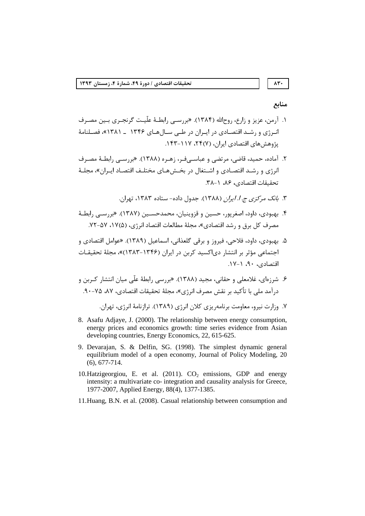# $\Lambda \Upsilon$

## منابع

- ۱. آرمن، عزیز و زارع، روح|لله (۱۳۸۴). «بررسـی رابطـهٔ علّیـت گرنجـری بـین مصـرف انبرژی و رشید اقتصادی در ایبران در طبی سیال هیای ۱۳۴۶ ــ ۱۳۸۱»، فصلنامهٔ یژوهش های اقتصادی ایران، (۲۴(۷، ۲۲) ۱۴۳–۱۴۳.
- ۲. آماده، حمید، قاضی، مرتضی و عباسے فر، زهـره (۱۳۸۸). «بررسـی رابطـهٔ مصـرف انرژی و رشـد اقتصـادی و اشـتغال در بخـشهـای مختلـف اقتصـاد ایـران»، مجلـهٔ تحقيقات اقتصادي، ٨۶، ١-٣٨.
	- ۳. ب*انک مرکزی ج. ا. ایران* (۱۳۸۸). جدول داده- ستاده ۱۳۸۳، تهران.
- ۴. بهبودی، داود، اصغریور، حسین و قزوینیان، محمدحسـین (۱۳۸۷). «بررسـی رابطـهٔ مصرف كل برق و رشد اقتصادي»، مجلهٔ مطالعات اقتصاد انرژي، (۱۷۵۵، ۵۷–۷۲.
- ۵. بهبودی، داود، فلاحی، فیروز و برقی گلعذانی، اسماعیل (۱۳۸۹). «عوامل اقتصادی و اجتماعی مؤثر بر انتشار دی|کسید کربن در ایران (۱۳۴۶-۱۳۸۳)»، مجلهٔ تحقیقـات اقتصادی، ۹۰، ۱-۱۷.
- ۶. شرزهای، غلامعلی و حقانی، مجید (۱۳۸۸). «بررسی رابطهٔ علّی میان انتشار کـربن و درآمد ملي با تأكيد بر نقش مصرف انرژي»، مجلهٔ تحقيقات اقتصادي، ٨٧، ٧۵-٩٠.

- 8. Asafu Adiave, J. (2000). The relationship between energy consumption. energy prices and economics growth: time series evidence from Asian developing countries, Energy Economics, 22, 615-625.
- 9. Devarajan, S. & Delfin, SG. (1998). The simplest dynamic general equilibrium model of a open economy, Journal of Policy Modeling, 20  $(6), 677 - 714.$
- 10. Hatzigeorgiou, E. et al.  $(2011)$ .  $CO<sub>2</sub>$  emissions, GDP and energy intensity: a multivariate co- integration and causality analysis for Greece, 1977-2007, Applied Energy, 88(4), 1377-1385.
- 11. Huang, B.N. et al. (2008). Casual relationship between consumption and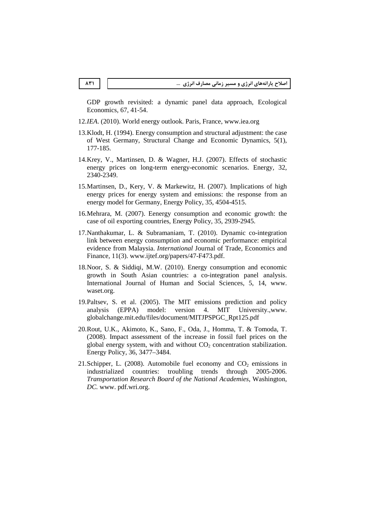GDP growth revisited: a dynamic panel data approach, Ecological Economics*,* 67, 41-54.

- 12.*IEA*. (2010). World energy outlook. Paris, France, www.iea.org
- 13.Klodt, H. (1994). Energy consumption and structural adjustment: the case of West Germany, Structural Change and Economic Dynamics*,* 5(1), 177-185.
- 14.Krey, V., Martinsen, D. & Wagner, H.J. (2007). Effects of stochastic energy prices on long-term energy-economic scenarios. Energy*,* 32, 2340-2349.
- 15.Martinsen, D., Kery, V. & Markewitz, H. (2007). Implications of high energy prices for energy system and emissions: the response from an energy model for Germany, Energy Policy, 35, 4504-4515.
- 16.Mehrara, M. (2007). Eenergy consumption and economic growth: the case of oil exporting countries, Energy Policy*,* 35, 2939-2945.
- 17.Nanthakumar, L. & Subramaniam, T. (2010). Dynamic co-integration link between energy consumption and economic performance: empirical evidence from Malaysia. *International* Journal of Trade, Economics and Finance, 11(3). www.ijtef.org/papers/47-F473.pdf.
- 18.Noor, S. & Siddiqi, M.W. (2010). Energy consumption and economic growth in South Asian countries: a co-integration panel analysis. International Journal of Human and Social Sciences, 5, 14, www. waset.org.
- 19.Paltsev, S. et al. (2005). The MIT emissions prediction and policy analysis (EPPA) model: version 4. MIT University.,www. globalchange.mit.edu/files/document/MITJPSPGC\_Rpt125.pdf
- 20.Rout, U.K., Akimoto, K., Sano, F., Oda, J., Homma, T. & Tomoda, T. (2008). Impact assessment of the increase in fossil fuel prices on the global energy system, with and without  $CO<sub>2</sub>$  concentration stabilization. Energy Policy*,* 36, 3477–3484.
- 21. Schipper, L. (2008). Automobile fuel economy and  $CO<sub>2</sub>$  emissions in industrialized countries: troubling trends through 2005-2006. *Transportation Research Board of the National Academies*, Washington*, DC.* www. pdf.wri.org.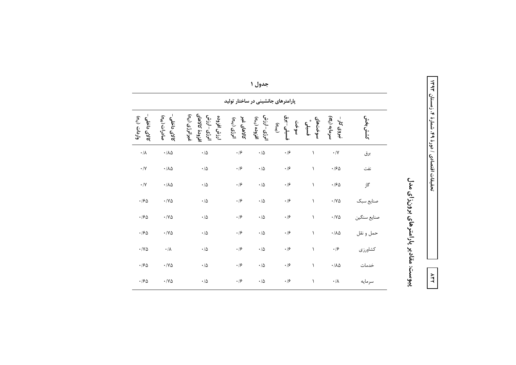| そのも                    |
|------------------------|
| t                      |
| $\frac{1}{1}$          |
|                        |
|                        |
| دی / دورهٔ ۹۹ شمارهٔ ۴ |
|                        |
|                        |
|                        |
|                        |
| Į                      |
| $\ddot{\phantom{0}}$   |
| وةنقات<br>حقيقات       |
|                        |

**AFT** 

پیوست: مقادیر پارامترهای برون(ای مدل

|                                                         |                                          |                                                                            |                                           | جسوں ،                                                  |                                                 |                  |                           |            |
|---------------------------------------------------------|------------------------------------------|----------------------------------------------------------------------------|-------------------------------------------|---------------------------------------------------------|-------------------------------------------------|------------------|---------------------------|------------|
| پارامترهای جانشینی در ساختار تولید                      |                                          |                                                                            |                                           |                                                         |                                                 |                  |                           |            |
| $\epsilon^{l}$ واردات $\epsilon_{\nu j}$<br>كالاي داخلى | صادرات ( <sub>نه</sub> ی)<br>كالاي داخلى | افزودة كالاهاي<br>غيرانرژي ( <sub>تو7</sub> )<br>انوژی-ارزش<br>ارزش افزوده | كالاهاى غير<br>$\mathfrak{b}_{m(j)}(z^2)$ | انوژی-ارزش<br>افزوده $\zeta_{\scriptscriptstyle{(vv)}}$ | فسيلى -برق<br>سوخن<br>$(\sigma_{\textit{env}})$ | سوختهای<br>فسيلئ | سرمایه (ه)<br>نیروی کار – | كشش بخش    |
| $\boldsymbol{\cdot} / \boldsymbol{\lambda}$             | $\cdot/\lambda\Delta$                    | $\cdot$ /<br>Δ                                                             | $\cdot$ /۶                                | $\cdot$ /<br>Δ                                          | $\cdot$ /۶                                      | ١                | $\boldsymbol{\cdot}$ /V   | برق        |
| $\cdot/\Upsilon$                                        | $\cdot/\lambda\Delta$                    | $\cdot/\Delta$                                                             | $\cdot$ /۶                                | $\cdot$ / $\Delta$                                      | $\cdot$ /۶                                      | ١                | $\cdot$ /۶۵               | نفت        |
| $\cdot/\Upsilon$                                        | $\cdot/\lambda\Delta$                    | $\cdot/\Delta$                                                             | $\cdot$ /۶                                | $\cdot/\Delta$                                          | $\cdot$ /۶                                      | ١                | $\cdot$ /۶۵               | گاز        |
| .190                                                    | $\cdot$ / Y $\Delta$                     | $\cdot/\Delta$                                                             | $\cdot$ /۶                                | $\cdot/\Delta$                                          | $\cdot$ /۶                                      | $\lambda$        | $\cdot$ / Y $\Delta$      | صنايع سبک  |
| .190                                                    | $\cdot$ /Y $\Delta$                      | $\cdot/\Delta$                                                             | $\cdot$ /۶                                | $\cdot$ / $\Delta$                                      | $\cdot$ /۶                                      | $\lambda$        | $\cdot$ / Y $\Delta$      | صنايع سنگي |
| .190                                                    | $\cdot$ /Y $\Delta$                      | $\cdot$ / $\Delta$                                                         | $\cdot$ /۶                                | $\cdot/\Delta$                                          | $\cdot$ /۶                                      | ١                | $\cdot/\lambda\Delta$     | حمل و نقل  |
| $\cdot$ /Y $\Delta$                                     | $\cdot/\lambda$                          | $\cdot$ / $\Delta$                                                         | $\cdot$ /۶                                | $\cdot$ / $\Delta$                                      | $\cdot$ /۶                                      | $\lambda$        | $\cdot$ /۶                | كشاورزي    |
| .190                                                    | $\cdot$ / Y $\Delta$                     | $\cdot/\Delta$                                                             | $\cdot$ /۶                                | $\cdot/\Delta$                                          | $\cdot$ /۶                                      | $\lambda$        | $\cdot/\lambda\Delta$     | خدمات      |
| .190                                                    | $\cdot$ / Y $\Delta$                     | $\cdot$ / $\Delta$                                                         | $\cdot$ /۶                                | $\cdot/\Delta$                                          | $\cdot$ /۶                                      | $\lambda$        | $\cdot/\lambda$           | سرمايه     |

جدول ١